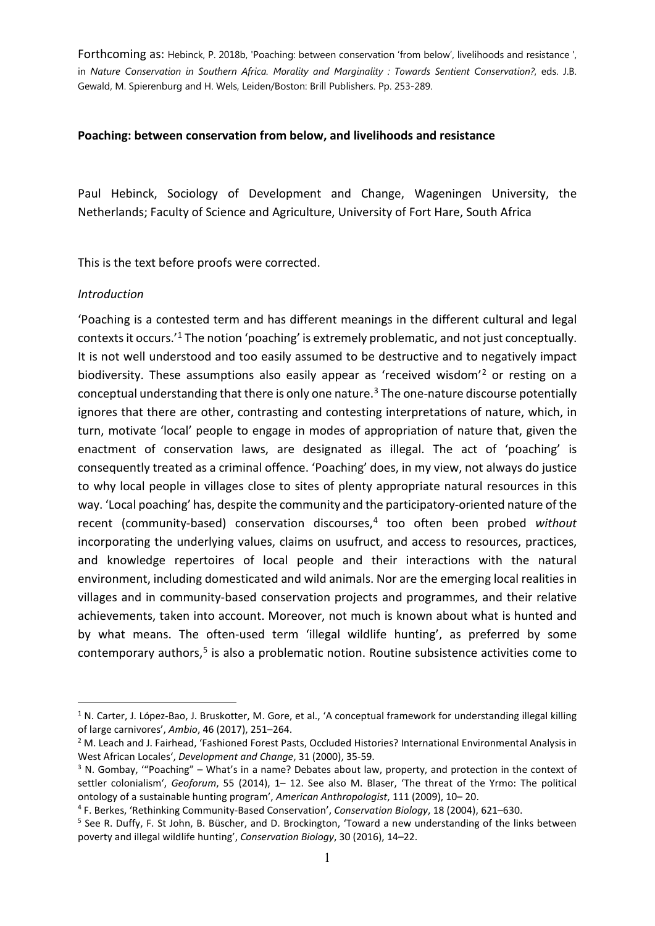#### **Poaching: between conservation from below, and livelihoods and resistance**

Paul Hebinck, Sociology of Development and Change, Wageningen University, the Netherlands; Faculty of Science and Agriculture, University of Fort Hare, South Africa

This is the text before proofs were corrected.

### *Introduction*

 $\overline{a}$ 

'Poaching is a contested term and has different meanings in the different cultural and legal contexts it occurs.<sup>[1](#page-16-0)</sup> The notion 'poaching' is extremely problematic, and not just conceptually. It is not well understood and too easily assumed to be destructive and to negatively impact biodiversity. These assumptions also easily appear as 'received wisdom'<sup>[2](#page-0-0)</sup> or resting on a conceptual understanding that there is only one nature. [3](#page-0-1) The one-nature discourse potentially ignores that there are other, contrasting and contesting interpretations of nature, which, in turn, motivate 'local' people to engage in modes of appropriation of nature that, given the enactment of conservation laws, are designated as illegal. The act of 'poaching' is consequently treated as a criminal offence. 'Poaching' does, in my view, not always do justice to why local people in villages close to sites of plenty appropriate natural resources in this way. 'Local poaching' has, despite the community and the participatory-oriented nature of the recent (community-based) conservation discourses, [4](#page-0-2) too often been probed *without* incorporating the underlying values, claims on usufruct, and access to resources, practices, and knowledge repertoires of local people and their interactions with the natural environment, including domesticated and wild animals. Nor are the emerging local realities in villages and in community-based conservation projects and programmes, and their relative achievements, taken into account. Moreover, not much is known about what is hunted and by what means. The often-used term 'illegal wildlife hunting', as preferred by some contemporary authors, [5](#page-0-3) is also a problematic notion. Routine subsistence activities come to

 $1$  N. Carter, J. López-Bao, J. Bruskotter, M. Gore, et al., 'A conceptual framework for understanding illegal killing of large carnivores', *Ambio*, 46 (2017), 251–264.

<span id="page-0-0"></span><sup>&</sup>lt;sup>2</sup> M. Leach and J. Fairhead, 'Fashioned Forest Pasts, Occluded Histories? International Environmental Analysis in West African Locales', *Development and Change*, 31 (2000), 35-59.

<span id="page-0-1"></span> $3$  N. Gombay, "Poaching" – What's in a name? Debates about law, property, and protection in the context of settler colonialism', *Geoforum*, 55 (2014), 1– 12. See also M. Blaser, 'The threat of the Yrmo: The political ontology of a sustainable hunting program', *American Anthropologist*, 111 (2009), 10– 20.

<span id="page-0-2"></span><sup>4</sup> F. Berkes, 'Rethinking Community-Based Conservation', *Conservation Biology*, 18 (2004), 621–630.

<span id="page-0-3"></span><sup>5</sup> See R. Duffy, F. St John, B. Büscher, and D. Brockington, 'Toward a new understanding of the links between poverty and illegal wildlife hunting', *Conservation Biology*, 30 (2016), 14–22.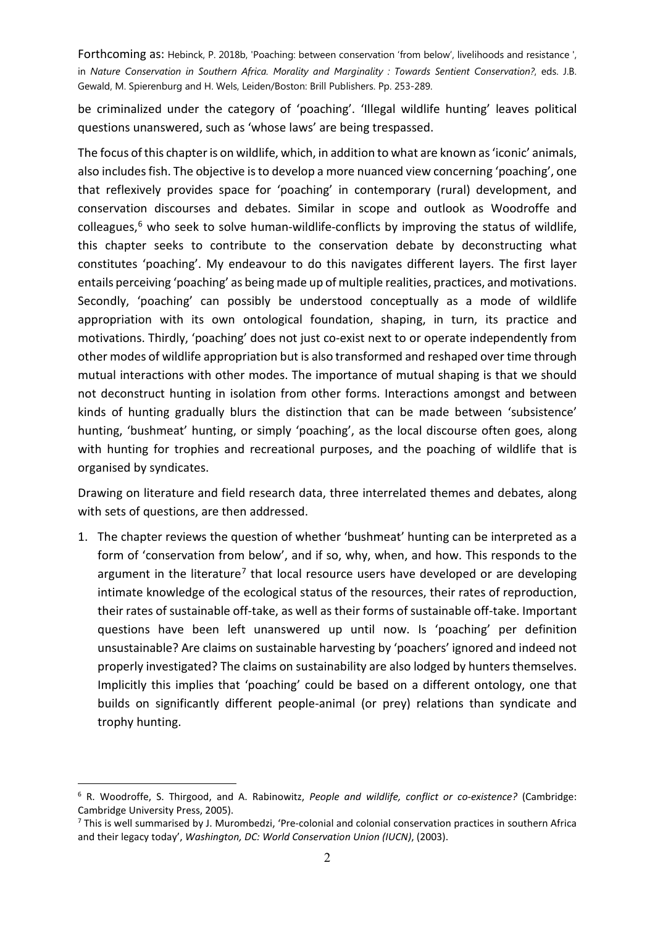be criminalized under the category of 'poaching'. 'Illegal wildlife hunting' leaves political questions unanswered, such as 'whose laws' are being trespassed.

The focus of this chapter is on wildlife, which, in addition to what are known as 'iconic' animals, also includes fish. The objective is to develop a more nuanced view concerning 'poaching', one that reflexively provides space for 'poaching' in contemporary (rural) development, and conservation discourses and debates. Similar in scope and outlook as Woodroffe and colleagues, $<sup>6</sup>$  $<sup>6</sup>$  $<sup>6</sup>$  who seek to solve human-wildlife-conflicts by improving the status of wildlife,</sup> this chapter seeks to contribute to the conservation debate by deconstructing what constitutes 'poaching'. My endeavour to do this navigates different layers. The first layer entails perceiving 'poaching' as being made up of multiple realities, practices, and motivations. Secondly, 'poaching' can possibly be understood conceptually as a mode of wildlife appropriation with its own ontological foundation, shaping, in turn, its practice and motivations. Thirdly, 'poaching' does not just co-exist next to or operate independently from other modes of wildlife appropriation but is also transformed and reshaped over time through mutual interactions with other modes. The importance of mutual shaping is that we should not deconstruct hunting in isolation from other forms. Interactions amongst and between kinds of hunting gradually blurs the distinction that can be made between 'subsistence' hunting, 'bushmeat' hunting, or simply 'poaching', as the local discourse often goes, along with hunting for trophies and recreational purposes, and the poaching of wildlife that is organised by syndicates.

Drawing on literature and field research data, three interrelated themes and debates, along with sets of questions, are then addressed.

1. The chapter reviews the question of whether 'bushmeat' hunting can be interpreted as a form of 'conservation from below', and if so, why, when, and how. This responds to the argument in the literature<sup>[7](#page-1-1)</sup> that local resource users have developed or are developing intimate knowledge of the ecological status of the resources, their rates of reproduction, their rates of sustainable off-take, as well as their forms of sustainable off-take. Important questions have been left unanswered up until now. Is 'poaching' per definition unsustainable? Are claims on sustainable harvesting by 'poachers' ignored and indeed not properly investigated? The claims on sustainability are also lodged by hunters themselves. Implicitly this implies that 'poaching' could be based on a different ontology, one that builds on significantly different people-animal (or prey) relations than syndicate and trophy hunting.

<span id="page-1-0"></span><sup>6</sup> R. Woodroffe, S. Thirgood, and A. Rabinowitz, *People and wildlife, conflict or co-existence?* (Cambridge: Cambridge University Press, 2005).

<span id="page-1-1"></span> $7$  This is well summarised by J. Murombedzi, 'Pre-colonial and colonial conservation practices in southern Africa and their legacy today', *Washington, DC: World Conservation Union (IUCN)*, (2003).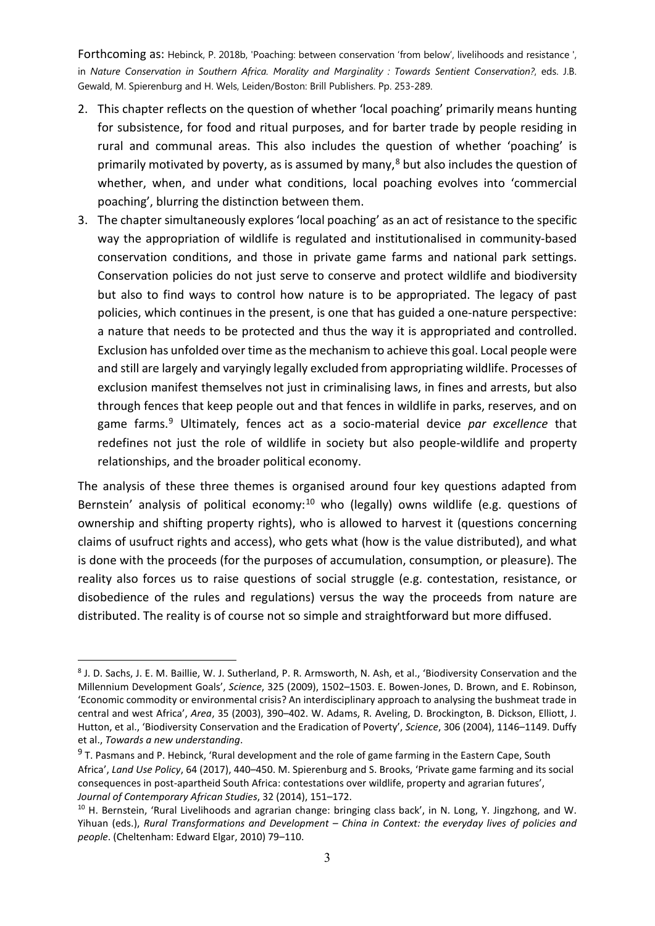- 2. This chapter reflects on the question of whether 'local poaching' primarily means hunting for subsistence, for food and ritual purposes, and for barter trade by people residing in rural and communal areas. This also includes the question of whether 'poaching' is primarily motivated by poverty, as is assumed by many,<sup>[8](#page-2-0)</sup> but also includes the question of whether, when, and under what conditions, local poaching evolves into 'commercial poaching', blurring the distinction between them.
- 3. The chapter simultaneously explores 'local poaching' as an act of resistance to the specific way the appropriation of wildlife is regulated and institutionalised in community-based conservation conditions, and those in private game farms and national park settings. Conservation policies do not just serve to conserve and protect wildlife and biodiversity but also to find ways to control how nature is to be appropriated. The legacy of past policies, which continues in the present, is one that has guided a one-nature perspective: a nature that needs to be protected and thus the way it is appropriated and controlled. Exclusion has unfolded over time as the mechanism to achieve this goal. Local people were and still are largely and varyingly legally excluded from appropriating wildlife. Processes of exclusion manifest themselves not just in criminalising laws, in fines and arrests, but also through fences that keep people out and that fences in wildlife in parks, reserves, and on game farms. [9](#page-2-1) Ultimately, fences act as a socio-material device *par excellence* that redefines not just the role of wildlife in society but also people-wildlife and property relationships, and the broader political economy.

The analysis of these three themes is organised around four key questions adapted from Bernstein' analysis of political economy:<sup>[10](#page-2-2)</sup> who (legally) owns wildlife (e.g. questions of ownership and shifting property rights), who is allowed to harvest it (questions concerning claims of usufruct rights and access), who gets what (how is the value distributed), and what is done with the proceeds (for the purposes of accumulation, consumption, or pleasure). The reality also forces us to raise questions of social struggle (e.g. contestation, resistance, or disobedience of the rules and regulations) versus the way the proceeds from nature are distributed. The reality is of course not so simple and straightforward but more diffused.

<span id="page-2-0"></span><sup>8</sup> J. D. Sachs, J. E. M. Baillie, W. J. Sutherland, P. R. Armsworth, N. Ash, et al., 'Biodiversity Conservation and the Millennium Development Goals', *Science*, 325 (2009), 1502–1503. E. Bowen-Jones, D. Brown, and E. Robinson, 'Economic commodity or environmental crisis? An interdisciplinary approach to analysing the bushmeat trade in central and west Africa', *Area*, 35 (2003), 390–402. W. Adams, R. Aveling, D. Brockington, B. Dickson, Elliott, J. Hutton, et al., 'Biodiversity Conservation and the Eradication of Poverty', *Science*, 306 (2004), 1146–1149. Duffy et al., *Towards a new understanding*.

<span id="page-2-1"></span> $9$  T. Pasmans and P. Hebinck, 'Rural development and the role of game farming in the Eastern Cape, South Africa', *Land Use Policy*, 64 (2017), 440–450. M. Spierenburg and S. Brooks, 'Private game farming and its social consequences in post-apartheid South Africa: contestations over wildlife, property and agrarian futures', *Journal of Contemporary African Studies*, 32 (2014), 151–172.

<span id="page-2-2"></span> $10$  H. Bernstein, 'Rural Livelihoods and agrarian change: bringing class back', in N. Long, Y. Jingzhong, and W. Yihuan (eds.), *Rural Transformations and Development – China in Context: the everyday lives of policies and people*. (Cheltenham: Edward Elgar, 2010) 79–110.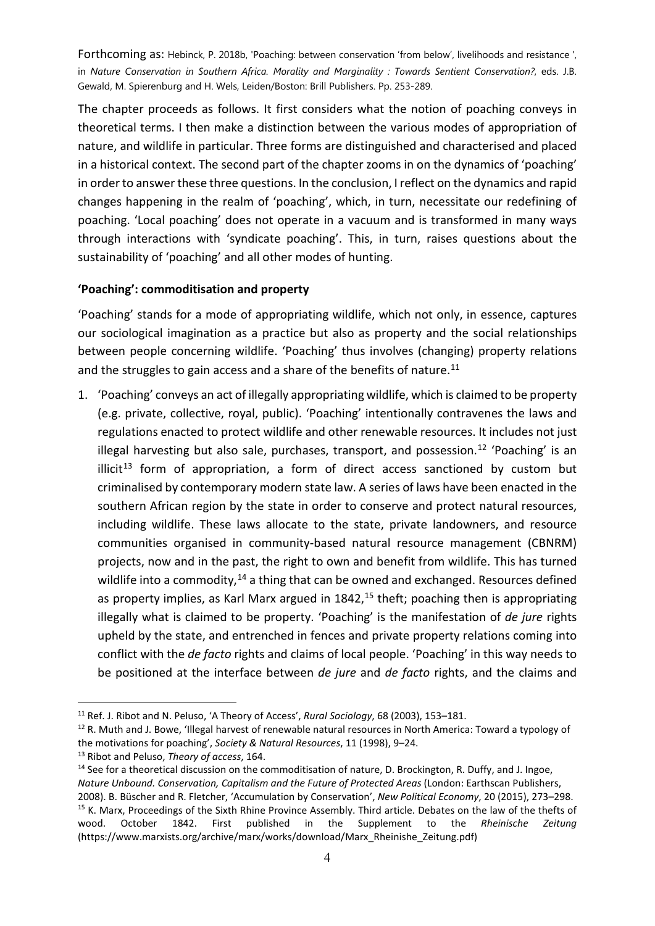The chapter proceeds as follows. It first considers what the notion of poaching conveys in theoretical terms. I then make a distinction between the various modes of appropriation of nature, and wildlife in particular. Three forms are distinguished and characterised and placed in a historical context. The second part of the chapter zooms in on the dynamics of 'poaching' in order to answer these three questions. In the conclusion, I reflect on the dynamics and rapid changes happening in the realm of 'poaching', which, in turn, necessitate our redefining of poaching. 'Local poaching' does not operate in a vacuum and is transformed in many ways through interactions with 'syndicate poaching'. This, in turn, raises questions about the sustainability of 'poaching' and all other modes of hunting.

### **'Poaching': commoditisation and property**

'Poaching' stands for a mode of appropriating wildlife, which not only, in essence, captures our sociological imagination as a practice but also as property and the social relationships between people concerning wildlife. 'Poaching' thus involves (changing) property relations and the struggles to gain access and a share of the benefits of nature.<sup>[11](#page-3-0)</sup>

1. 'Poaching' conveys an act of illegally appropriating wildlife, which is claimed to be property (e.g. private, collective, royal, public). 'Poaching' intentionally contravenes the laws and regulations enacted to protect wildlife and other renewable resources. It includes not just illegal harvesting but also sale, purchases, transport, and possession.<sup>[12](#page-3-1)</sup> 'Poaching' is an  $\text{illicit}^{13}$  $\text{illicit}^{13}$  $\text{illicit}^{13}$  form of appropriation, a form of direct access sanctioned by custom but criminalised by contemporary modern state law. A series of laws have been enacted in the southern African region by the state in order to conserve and protect natural resources, including wildlife. These laws allocate to the state, private landowners, and resource communities organised in community-based natural resource management (CBNRM) projects, now and in the past, the right to own and benefit from wildlife. This has turned wildlife into a commodity,<sup>[14](#page-3-3)</sup> a thing that can be owned and exchanged. Resources defined as property implies, as Karl Marx argued in 1842,<sup>[15](#page-3-4)</sup> theft; poaching then is appropriating illegally what is claimed to be property. 'Poaching' is the manifestation of *de jure* rights upheld by the state, and entrenched in fences and private property relations coming into conflict with the *de facto* rights and claims of local people. 'Poaching' in this way needs to be positioned at the interface between *de jure* and *de facto* rights, and the claims and

<span id="page-3-0"></span><sup>11</sup> Ref. J. Ribot and N. Peluso, 'A Theory of Access', *Rural Sociology*, 68 (2003), 153–181.

<span id="page-3-1"></span><sup>&</sup>lt;sup>12</sup> R. Muth and J. Bowe, 'Illegal harvest of renewable natural resources in North America: Toward a typology of the motivations for poaching', *Society & Natural Resources*, 11 (1998), 9–24.

<span id="page-3-2"></span><sup>13</sup> Ribot and Peluso, *Theory of access*, 164.

<span id="page-3-4"></span><span id="page-3-3"></span><sup>&</sup>lt;sup>14</sup> See for a theoretical discussion on the commoditisation of nature, D. Brockington, R. Duffy, and J. Ingoe, *Nature Unbound. Conservation, Capitalism and the Future of Protected Areas* (London: Earthscan Publishers, 2008). B. Büscher and R. Fletcher, 'Accumulation by Conservation', *New Political Economy*, 20 (2015), 273–298. <sup>15</sup> K. Marx, Proceedings of the Sixth Rhine Province Assembly. Third article. Debates on the law of the thefts of wood. October 1842. First published in the Supplement to the *Rheinische Zeitung* (https://www.marxists.org/archive/marx/works/download/Marx\_Rheinishe\_Zeitung.pdf)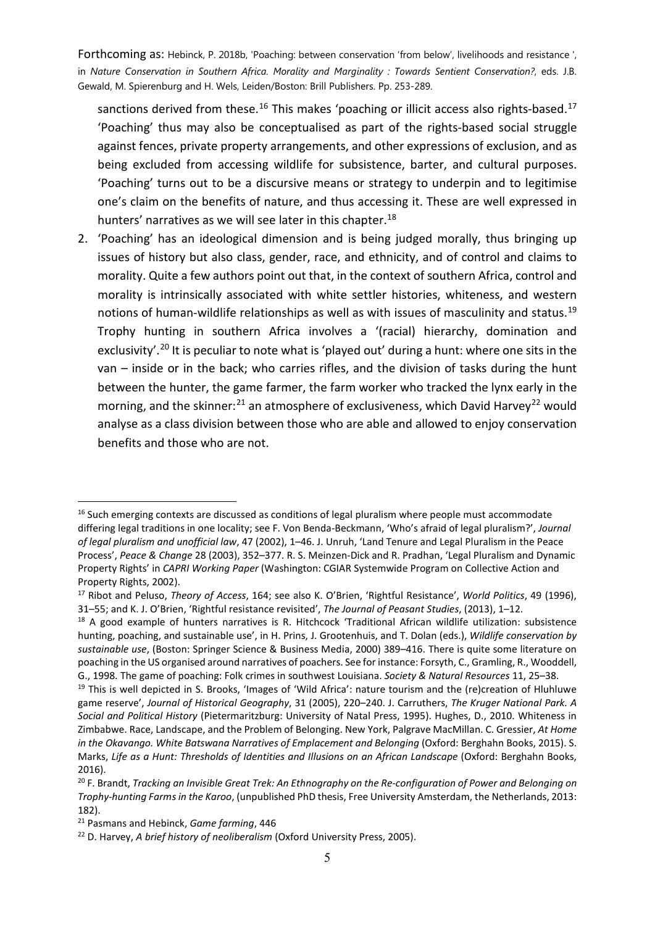sanctions derived from these.<sup>[16](#page-4-0)</sup> This makes 'poaching or illicit access also rights-based.<sup>[17](#page-4-1)</sup> 'Poaching' thus may also be conceptualised as part of the rights-based social struggle against fences, private property arrangements, and other expressions of exclusion, and as being excluded from accessing wildlife for subsistence, barter, and cultural purposes. 'Poaching' turns out to be a discursive means or strategy to underpin and to legitimise one's claim on the benefits of nature, and thus accessing it. These are well expressed in hunters' narratives as we will see later in this chapter.<sup>[18](#page-4-2)</sup>

2. 'Poaching' has an ideological dimension and is being judged morally, thus bringing up issues of history but also class, gender, race, and ethnicity, and of control and claims to morality. Quite a few authors point out that, in the context of southern Africa, control and morality is intrinsically associated with white settler histories, whiteness, and western notions of human-wildlife relationships as well as with issues of masculinity and status.<sup>[19](#page-4-3)</sup> Trophy hunting in southern Africa involves a '(racial) hierarchy, domination and exclusivity'.<sup>[20](#page-4-4)</sup> It is peculiar to note what is 'played out' during a hunt: where one sits in the van – inside or in the back; who carries rifles, and the division of tasks during the hunt between the hunter, the game farmer, the farm worker who tracked the lynx early in the morning, and the skinner:<sup>[21](#page-4-5)</sup> an atmosphere of exclusiveness, which David Harvey<sup>[22](#page-4-6)</sup> would analyse as a class division between those who are able and allowed to enjoy conservation benefits and those who are not.

<span id="page-4-0"></span><sup>&</sup>lt;sup>16</sup> Such emerging contexts are discussed as conditions of legal pluralism where people must accommodate differing legal traditions in one locality; see F. Von Benda-Beckmann, 'Who's afraid of legal pluralism?', *Journal of legal pluralism and unofficial law*, 47 (2002), 1–46. J. Unruh, 'Land Tenure and Legal Pluralism in the Peace Process', *Peace & Change* 28 (2003), 352–377. R. S. Meinzen-Dick and R. Pradhan, 'Legal Pluralism and Dynamic Property Rights' in *CAPRI Working Paper* (Washington: CGIAR Systemwide Program on Collective Action and Property Rights, 2002).

<span id="page-4-1"></span><sup>17</sup> Ribot and Peluso, *Theory of Access*, 164; see also K. O'Brien, 'Rightful Resistance', *World Politics*, 49 (1996), 31–55; and K. J. O'Brien, 'Rightful resistance revisited', *The Journal of Peasant Studies*, (2013), 1–12.

<span id="page-4-2"></span><sup>&</sup>lt;sup>18</sup> A good example of hunters narratives is R. Hitchcock 'Traditional African wildlife utilization: subsistence hunting, poaching, and sustainable use', in H. Prins, J. Grootenhuis, and T. Dolan (eds.), *Wildlife conservation by sustainable use*, (Boston: Springer Science & Business Media, 2000) 389–416. There is quite some literature on poaching in the US organised around narratives of poachers. See for instance: Forsyth, C., Gramling, R., Wooddell, G., 1998. The game of poaching: Folk crimes in southwest Louisiana. *Society & Natural Resources* 11, 25–38.

<span id="page-4-3"></span> $19$  This is well depicted in S. Brooks, 'Images of 'Wild Africa': nature tourism and the (re)creation of Hluhluwe game reserve', *Journal of Historical Geography*, 31 (2005), 220–240. J. Carruthers, *The Kruger National Park. A Social and Political History* (Pietermaritzburg: University of Natal Press, 1995). Hughes, D., 2010. Whiteness in Zimbabwe. Race, Landscape, and the Problem of Belonging. New York, Palgrave MacMillan. C. Gressier, *At Home in the Okavango. White Batswana Narratives of Emplacement and Belonging (Oxford: Berghahn Books, 2015). S.* Marks, *Life as a Hunt: Thresholds of Identities and Illusions on an African Landscape* (Oxford: Berghahn Books, 2016).

<span id="page-4-4"></span><sup>20</sup> F. Brandt, *Tracking an Invisible Great Trek: An Ethnography on the Re-configuration of Power and Belonging on Trophy-hunting Farms in the Karoo*, (unpublished PhD thesis, Free University Amsterdam, the Netherlands, 2013: 182).

<span id="page-4-5"></span><sup>21</sup> Pasmans and Hebinck, *Game farming*, 446

<span id="page-4-6"></span><sup>22</sup> D. Harvey, *A brief history of neoliberalism* (Oxford University Press, 2005).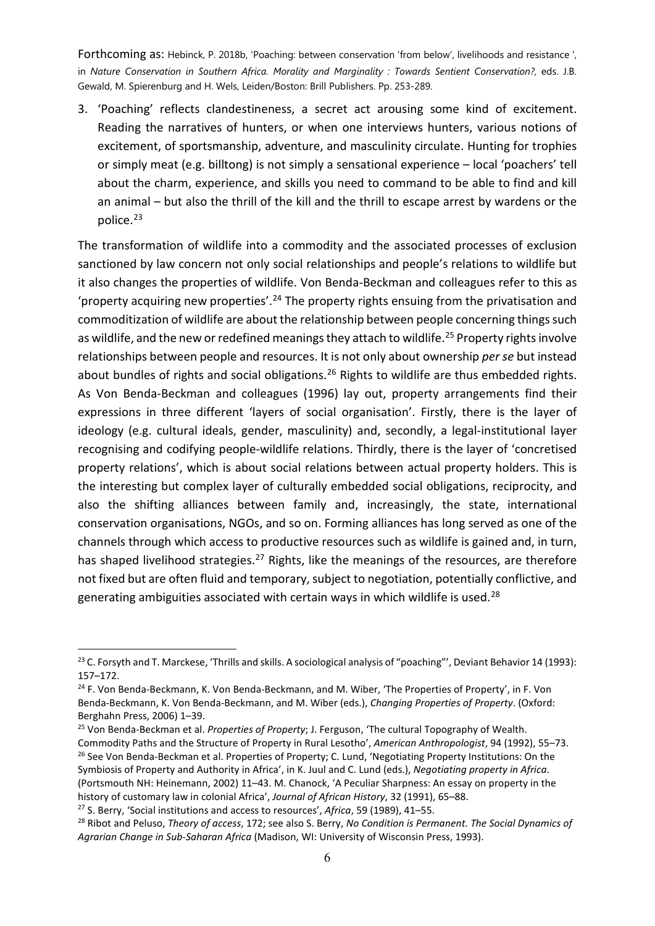3. 'Poaching' reflects clandestineness, a secret act arousing some kind of excitement. Reading the narratives of hunters, or when one interviews hunters, various notions of excitement, of sportsmanship, adventure, and masculinity circulate. Hunting for trophies or simply meat (e.g. billtong) is not simply a sensational experience – local 'poachers' tell about the charm, experience, and skills you need to command to be able to find and kill an animal – but also the thrill of the kill and the thrill to escape arrest by wardens or the police.[23](#page-5-0)

The transformation of wildlife into a commodity and the associated processes of exclusion sanctioned by law concern not only social relationships and people's relations to wildlife but it also changes the properties of wildlife. Von Benda-Beckman and colleagues refer to this as 'property acquiring new properties'.<sup>[24](#page-5-1)</sup> The property rights ensuing from the privatisation and commoditization of wildlife are about the relationship between people concerning things such as wildlife, and the new or redefined meanings they attach to wildlife.<sup>[25](#page-5-2)</sup> Property rights involve relationships between people and resources. It is not only about ownership *per se* but instead about bundles of rights and social obligations.<sup>[26](#page-5-3)</sup> Rights to wildlife are thus embedded rights. As Von Benda-Beckman and colleagues (1996) lay out, property arrangements find their expressions in three different 'layers of social organisation'. Firstly, there is the layer of ideology (e.g. cultural ideals, gender, masculinity) and, secondly, a legal-institutional layer recognising and codifying people-wildlife relations. Thirdly, there is the layer of 'concretised property relations', which is about social relations between actual property holders. This is the interesting but complex layer of culturally embedded social obligations, reciprocity, and also the shifting alliances between family and, increasingly, the state, international conservation organisations, NGOs, and so on. Forming alliances has long served as one of the channels through which access to productive resources such as wildlife is gained and, in turn, has shaped livelihood strategies.<sup>[27](#page-5-4)</sup> Rights, like the meanings of the resources, are therefore not fixed but are often fluid and temporary, subject to negotiation, potentially conflictive, and generating ambiguities associated with certain ways in which wildlife is used.<sup>[28](#page-5-5)</sup>

<span id="page-5-0"></span><sup>&</sup>lt;sup>23</sup> C. Forsyth and T. Marckese, 'Thrills and skills. A sociological analysis of "poaching"', Deviant Behavior 14 (1993): 157–172.

<span id="page-5-1"></span><sup>&</sup>lt;sup>24</sup> F. Von Benda-Beckmann, K. Von Benda-Beckmann, and M. Wiber, 'The Properties of Property', in F. Von Benda-Beckmann, K. Von Benda-Beckmann, and M. Wiber (eds.), *Changing Properties of Property*. (Oxford: Berghahn Press, 2006) 1–39.

<span id="page-5-2"></span><sup>25</sup> Von Benda-Beckman et al. *Properties of Property*; J. Ferguson, 'The cultural Topography of Wealth.

<span id="page-5-3"></span>Commodity Paths and the Structure of Property in Rural Lesotho', *American Anthropologist*, 94 (1992), 55–73. <sup>26</sup> See Von Benda-Beckman et al. Properties of Property; C. Lund, 'Negotiating Property Institutions: On the Symbiosis of Property and Authority in Africa', in K. Juul and C. Lund (eds.), *Negotiating property in Africa*. (Portsmouth NH: Heinemann, 2002) 11–43. M. Chanock, 'A Peculiar Sharpness: An essay on property in the history of customary law in colonial Africa', *Journal of African History*, 32 (1991), 65–88.

<span id="page-5-4"></span><sup>27</sup> S. Berry, 'Social institutions and access to resources', *Africa*, 59 (1989), 41–55.

<span id="page-5-5"></span><sup>28</sup> Ribot and Peluso, *Theory of access*, 172; see also S. Berry, *No Condition is Permanent. The Social Dynamics of Agrarian Change in Sub-Saharan Africa* (Madison, WI: University of Wisconsin Press, 1993).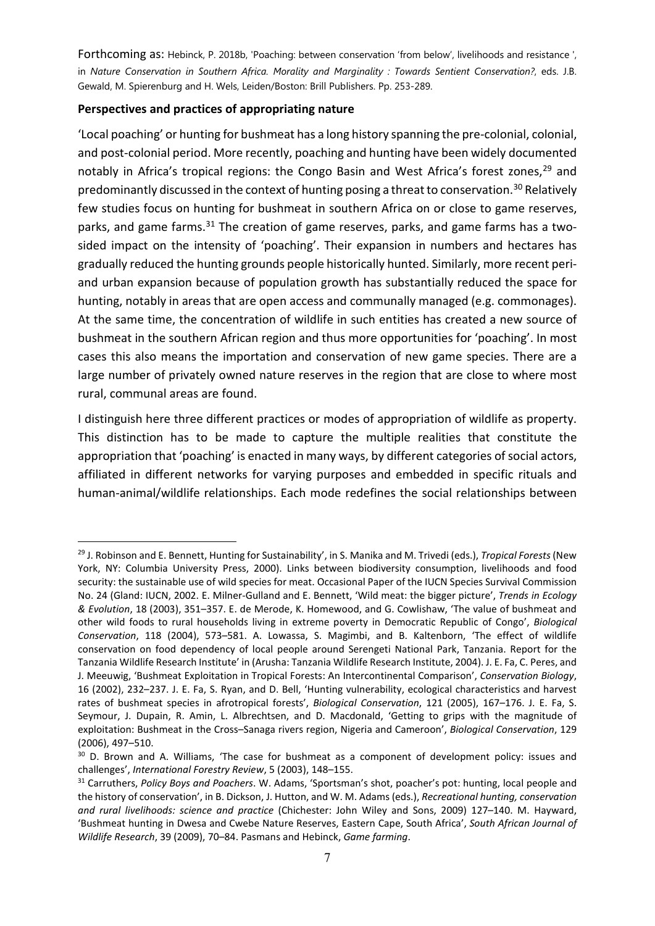### **Perspectives and practices of appropriating nature**

 $\overline{a}$ 

'Local poaching' or hunting for bushmeat has a long history spanning the pre-colonial, colonial, and post-colonial period. More recently, poaching and hunting have been widely documented notably in Africa's tropical regions: the Congo Basin and West Africa's forest zones,<sup>[29](#page-6-0)</sup> and predominantly discussed in the context of hunting posing a threat to conservation. [30](#page-6-1) Relatively few studies focus on hunting for bushmeat in southern Africa on or close to game reserves, parks, and game farms.<sup>[31](#page-6-2)</sup> The creation of game reserves, parks, and game farms has a twosided impact on the intensity of 'poaching'. Their expansion in numbers and hectares has gradually reduced the hunting grounds people historically hunted. Similarly, more recent periand urban expansion because of population growth has substantially reduced the space for hunting, notably in areas that are open access and communally managed (e.g. commonages). At the same time, the concentration of wildlife in such entities has created a new source of bushmeat in the southern African region and thus more opportunities for 'poaching'. In most cases this also means the importation and conservation of new game species. There are a large number of privately owned nature reserves in the region that are close to where most rural, communal areas are found.

I distinguish here three different practices or modes of appropriation of wildlife as property. This distinction has to be made to capture the multiple realities that constitute the appropriation that 'poaching' is enacted in many ways, by different categories of social actors, affiliated in different networks for varying purposes and embedded in specific rituals and human-animal/wildlife relationships. Each mode redefines the social relationships between

<span id="page-6-0"></span><sup>29</sup> J. Robinson and E. Bennett, Hunting for Sustainability', in S. Manika and M. Trivedi (eds.), *Tropical Forests*(New York, NY: Columbia University Press, 2000). Links between biodiversity consumption, livelihoods and food security: the sustainable use of wild species for meat. Occasional Paper of the IUCN Species Survival Commission No. 24 (Gland: IUCN, 2002. E. Milner-Gulland and E. Bennett, 'Wild meat: the bigger picture', *Trends in Ecology & Evolution*, 18 (2003), 351–357. E. de Merode, K. Homewood, and G. Cowlishaw, 'The value of bushmeat and other wild foods to rural households living in extreme poverty in Democratic Republic of Congo', *Biological Conservation*, 118 (2004), 573–581. A. Lowassa, S. Magimbi, and B. Kaltenborn, 'The effect of wildlife conservation on food dependency of local people around Serengeti National Park, Tanzania. Report for the Tanzania Wildlife Research Institute' in (Arusha: Tanzania Wildlife Research Institute, 2004). J. E. Fa, C. Peres, and J. Meeuwig, 'Bushmeat Exploitation in Tropical Forests: An Intercontinental Comparison', *Conservation Biology*, 16 (2002), 232–237. J. E. Fa, S. Ryan, and D. Bell, 'Hunting vulnerability, ecological characteristics and harvest rates of bushmeat species in afrotropical forests', *Biological Conservation*, 121 (2005), 167–176. J. E. Fa, S. Seymour, J. Dupain, R. Amin, L. Albrechtsen, and D. Macdonald, 'Getting to grips with the magnitude of exploitation: Bushmeat in the Cross–Sanaga rivers region, Nigeria and Cameroon', *Biological Conservation*, 129 (2006), 497–510.

<span id="page-6-1"></span><sup>&</sup>lt;sup>30</sup> D. Brown and A. Williams, 'The case for bushmeat as a component of development policy: issues and challenges', *International Forestry Review*, 5 (2003), 148–155.

<span id="page-6-2"></span><sup>31</sup> Carruthers, *Policy Boys and Poachers*. W. Adams, 'Sportsman's shot, poacher's pot: hunting, local people and the history of conservation', in B. Dickson, J. Hutton, and W. M. Adams (eds.), *Recreational hunting, conservation and rural livelihoods: science and practice* (Chichester: John Wiley and Sons, 2009) 127–140. M. Hayward, 'Bushmeat hunting in Dwesa and Cwebe Nature Reserves, Eastern Cape, South Africa', *South African Journal of Wildlife Research*, 39 (2009), 70–84. Pasmans and Hebinck, *Game farming*.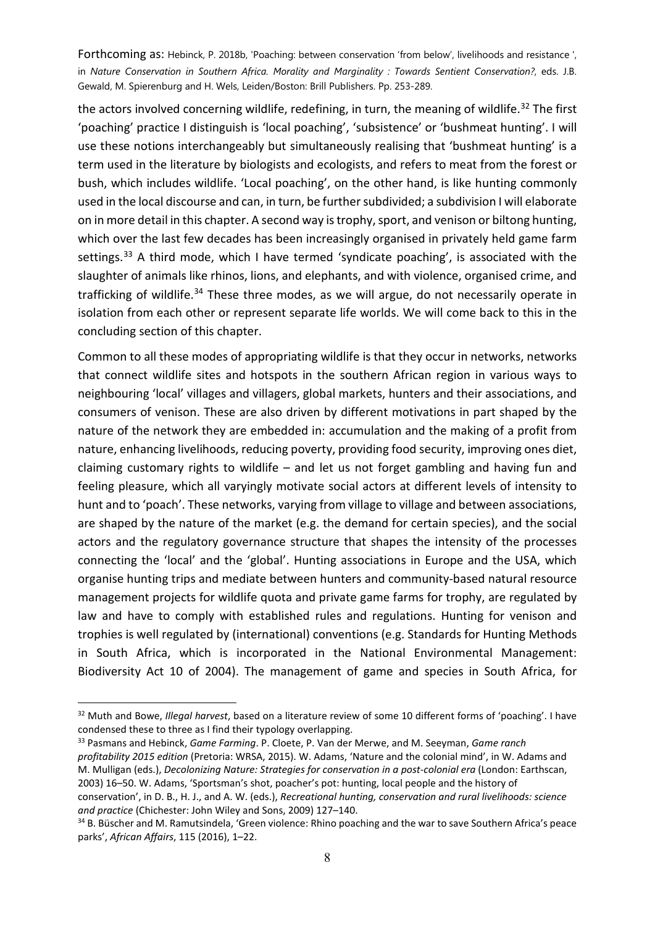the actors involved concerning wildlife, redefining, in turn, the meaning of wildlife.<sup>[32](#page-7-0)</sup> The first 'poaching' practice I distinguish is 'local poaching', 'subsistence' or 'bushmeat hunting'. I will use these notions interchangeably but simultaneously realising that 'bushmeat hunting' is a term used in the literature by biologists and ecologists, and refers to meat from the forest or bush, which includes wildlife. 'Local poaching', on the other hand, is like hunting commonly used in the local discourse and can, in turn, be further subdivided; a subdivision I will elaborate on in more detail in this chapter. A second way is trophy, sport, and venison or biltong hunting, which over the last few decades has been increasingly organised in privately held game farm settings.<sup>[33](#page-7-1)</sup> A third mode, which I have termed 'syndicate poaching', is associated with the slaughter of animals like rhinos, lions, and elephants, and with violence, organised crime, and trafficking of wildlife.<sup>[34](#page-7-2)</sup> These three modes, as we will argue, do not necessarily operate in isolation from each other or represent separate life worlds. We will come back to this in the concluding section of this chapter.

Common to all these modes of appropriating wildlife is that they occur in networks, networks that connect wildlife sites and hotspots in the southern African region in various ways to neighbouring 'local' villages and villagers, global markets, hunters and their associations, and consumers of venison. These are also driven by different motivations in part shaped by the nature of the network they are embedded in: accumulation and the making of a profit from nature, enhancing livelihoods, reducing poverty, providing food security, improving ones diet, claiming customary rights to wildlife – and let us not forget gambling and having fun and feeling pleasure, which all varyingly motivate social actors at different levels of intensity to hunt and to 'poach'. These networks, varying from village to village and between associations, are shaped by the nature of the market (e.g. the demand for certain species), and the social actors and the regulatory governance structure that shapes the intensity of the processes connecting the 'local' and the 'global'. Hunting associations in Europe and the USA, which organise hunting trips and mediate between hunters and community-based natural resource management projects for wildlife quota and private game farms for trophy, are regulated by law and have to comply with established rules and regulations. Hunting for venison and trophies is well regulated by (international) conventions (e.g. Standards for Hunting Methods in South Africa, which is incorporated in the National Environmental Management: Biodiversity Act 10 of 2004). The management of game and species in South Africa, for

<span id="page-7-1"></span><sup>33</sup> Pasmans and Hebinck, *Game Farming*. P. Cloete, P. Van der Merwe, and M. Seeyman, *Game ranch* 

 $\overline{a}$ 

*profitability 2015 edition* (Pretoria: WRSA, 2015). W. Adams, 'Nature and the colonial mind', in W. Adams and M. Mulligan (eds.), *Decolonizing Nature: Strategies for conservation in a post-colonial era* (London: Earthscan, 2003) 16–50. W. Adams, 'Sportsman's shot, poacher's pot: hunting, local people and the history of

<span id="page-7-0"></span><sup>32</sup> Muth and Bowe, *Illegal harvest*, based on a literature review of some 10 different forms of 'poaching'. I have condensed these to three as I find their typology overlapping.

conservation', in D. B., H. J., and A. W. (eds.), *Recreational hunting, conservation and rural livelihoods: science and practice* (Chichester: John Wiley and Sons, 2009) 127–140.

<span id="page-7-2"></span><sup>&</sup>lt;sup>34</sup> B. Büscher and M. Ramutsindela, 'Green violence: Rhino poaching and the war to save Southern Africa's peace parks', *African Affairs*, 115 (2016), 1–22.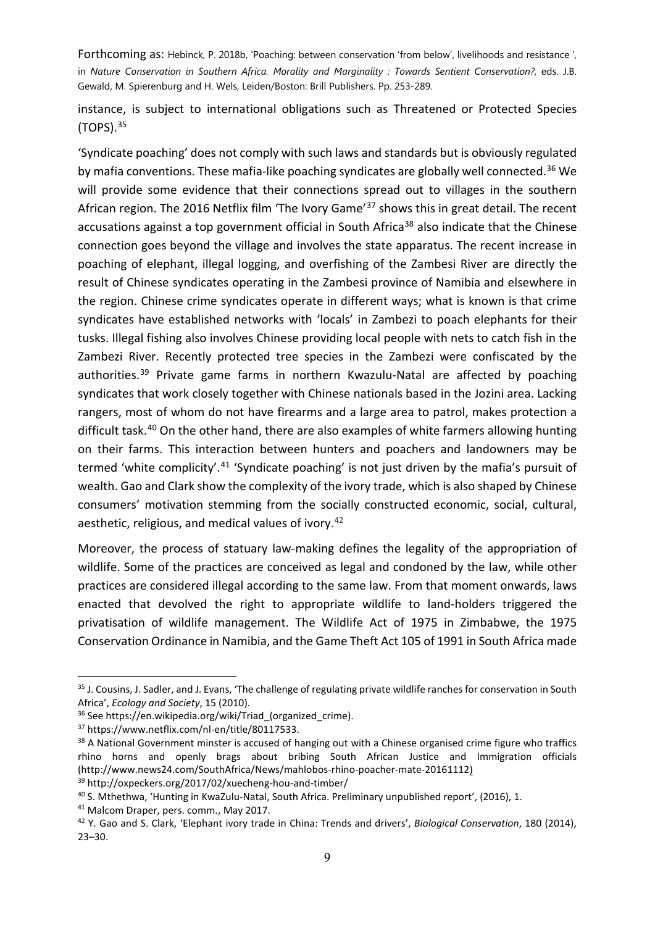instance, is subject to international obligations such as Threatened or Protected Species (TOPS). [35](#page-8-0)

'Syndicate poaching' does not comply with such laws and standards but is obviously regulated by mafia conventions. These mafia-like poaching syndicates are globally well connected.<sup>[36](#page-8-1)</sup> We will provide some evidence that their connections spread out to villages in the southern African region. The 2016 Netflix film 'The Ivory Game'<sup>[37](#page-8-2)</sup> shows this in great detail. The recent accusations against a top government official in South Africa<sup>[38](#page-8-3)</sup> also indicate that the Chinese connection goes beyond the village and involves the state apparatus. The recent increase in poaching of elephant, illegal logging, and overfishing of the Zambesi River are directly the result of Chinese syndicates operating in the Zambesi province of Namibia and elsewhere in the region. Chinese crime syndicates operate in different ways; what is known is that crime syndicates have established networks with 'locals' in Zambezi to poach elephants for their tusks. Illegal fishing also involves Chinese providing local people with nets to catch fish in the Zambezi River. Recently protected tree species in the Zambezi were confiscated by the authorities.<sup>[39](#page-8-4)</sup> Private game farms in northern Kwazulu-Natal are affected by poaching syndicates that work closely together with Chinese nationals based in the Jozini area. Lacking rangers, most of whom do not have firearms and a large area to patrol, makes protection a difficult task.<sup>[40](#page-8-5)</sup> On the other hand, there are also examples of white farmers allowing hunting on their farms. This interaction between hunters and poachers and landowners may be termed 'white complicity'.<sup>[41](#page-8-6)</sup> 'Syndicate poaching' is not just driven by the mafia's pursuit of wealth. Gao and Clark show the complexity of the ivory trade, which is also shaped by Chinese consumers' motivation stemming from the socially constructed economic, social, cultural, aesthetic, religious, and medical values of ivory.<sup>[42](#page-8-7)</sup>

Moreover, the process of statuary law-making defines the legality of the appropriation of wildlife. Some of the practices are conceived as legal and condoned by the law, while other practices are considered illegal according to the same law. From that moment onwards, laws enacted that devolved the right to appropriate wildlife to land-holders triggered the privatisation of wildlife management. The Wildlife Act of 1975 in Zimbabwe, the 1975 Conservation Ordinance in Namibia, and the Game Theft Act 105 of 1991 in South Africa made

<span id="page-8-0"></span><sup>&</sup>lt;sup>35</sup> J. Cousins, J. Sadler, and J. Evans, 'The challenge of regulating private wildlife ranches for conservation in South Africa', *Ecology and Society*, 15 (2010).

<span id="page-8-1"></span><sup>&</sup>lt;sup>36</sup> See https://en.wikipedia.org/wiki/Triad (organized crime).

<span id="page-8-2"></span><sup>37</sup> https://www.netflix.com/nl-en/title/80117533.

<span id="page-8-3"></span><sup>&</sup>lt;sup>38</sup> A National Government minster is accused of hanging out with a Chinese organised crime figure who traffics rhino horns and openly brags about bribing South African Justice and Immigration officials [\(http://www.news24.com/SouthAfrica/News/mahlobos-rhino-poacher-mate-20161112\)](http://www.news24.com/SouthAfrica/News/mahlobos-rhino-poacher-mate-20161112) <sup>39</sup> <http://oxpeckers.org/2017/02/xuecheng-hou-and-timber/>

<span id="page-8-5"></span><span id="page-8-4"></span><sup>&</sup>lt;sup>40</sup> S. Mthethwa, 'Hunting in KwaZulu-Natal, South Africa. Preliminary unpublished report', (2016), 1.

<span id="page-8-6"></span><sup>&</sup>lt;sup>41</sup> Malcom Draper, pers. comm., May 2017.

<span id="page-8-7"></span><sup>42</sup> Y. Gao and S. Clark, 'Elephant ivory trade in China: Trends and drivers', *Biological Conservation*, 180 (2014), 23–30.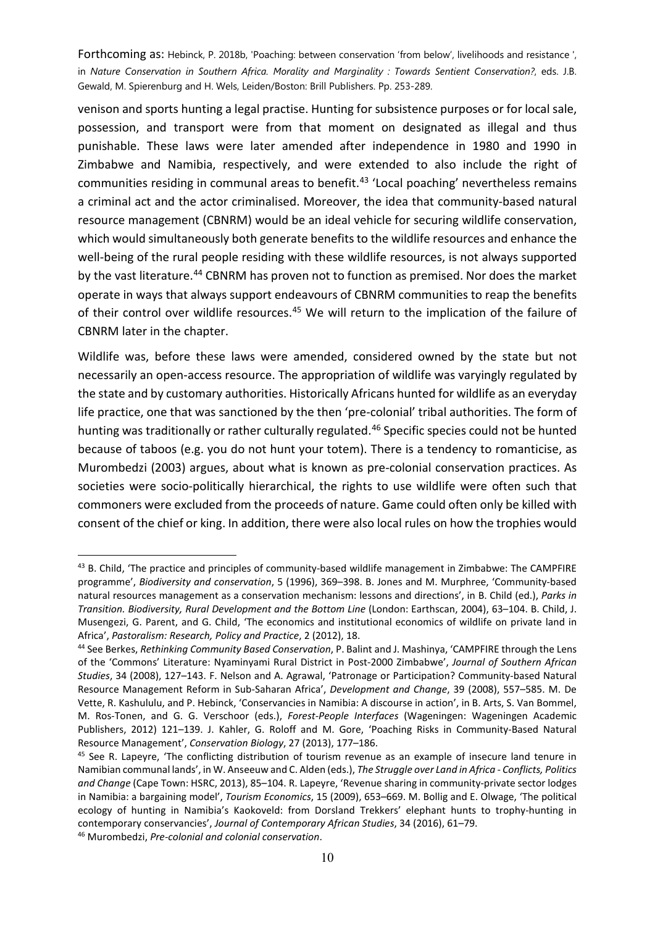venison and sports hunting a legal practise. Hunting for subsistence purposes or for local sale, possession, and transport were from that moment on designated as illegal and thus punishable. These laws were later amended after independence in 1980 and 1990 in Zimbabwe and Namibia, respectively, and were extended to also include the right of communities residing in communal areas to benefit. [43](#page-9-0) 'Local poaching' nevertheless remains a criminal act and the actor criminalised. Moreover, the idea that community-based natural resource management (CBNRM) would be an ideal vehicle for securing wildlife conservation, which would simultaneously both generate benefits to the wildlife resources and enhance the well-being of the rural people residing with these wildlife resources, is not always supported by the vast literature.<sup>[44](#page-9-1)</sup> CBNRM has proven not to function as premised. Nor does the market operate in ways that always support endeavours of CBNRM communities to reap the benefits of their control over wildlife resources.<sup>[45](#page-9-2)</sup> We will return to the implication of the failure of CBNRM later in the chapter.

Wildlife was, before these laws were amended, considered owned by the state but not necessarily an open-access resource. The appropriation of wildlife was varyingly regulated by the state and by customary authorities. Historically Africans hunted for wildlife as an everyday life practice, one that was sanctioned by the then 'pre-colonial' tribal authorities. The form of hunting was traditionally or rather culturally regulated.<sup>[46](#page-9-3)</sup> Specific species could not be hunted because of taboos (e.g. you do not hunt your totem). There is a tendency to romanticise, as Murombedzi (2003) argues, about what is known as pre-colonial conservation practices. As societies were socio-politically hierarchical, the rights to use wildlife were often such that commoners were excluded from the proceeds of nature. Game could often only be killed with consent of the chief or king. In addition, there were also local rules on how the trophies would

<span id="page-9-0"></span><sup>&</sup>lt;sup>43</sup> B. Child, 'The practice and principles of community-based wildlife management in Zimbabwe: The CAMPFIRE programme', *Biodiversity and conservation*, 5 (1996), 369–398. B. Jones and M. Murphree, 'Community-based natural resources management as a conservation mechanism: lessons and directions', in B. Child (ed.), *Parks in Transition. Biodiversity, Rural Development and the Bottom Line* (London: Earthscan, 2004), 63–104. B. Child, J. Musengezi, G. Parent, and G. Child, 'The economics and institutional economics of wildlife on private land in Africa', *Pastoralism: Research, Policy and Practice*, 2 (2012), 18.

<span id="page-9-1"></span><sup>44</sup> See Berkes, *Rethinking Community Based Conservation*, P. Balint and J. Mashinya, 'CAMPFIRE through the Lens of the 'Commons' Literature: Nyaminyami Rural District in Post-2000 Zimbabwe', *Journal of Southern African Studies*, 34 (2008), 127–143. F. Nelson and A. Agrawal, 'Patronage or Participation? Community-based Natural Resource Management Reform in Sub-Saharan Africa', *Development and Change*, 39 (2008), 557–585. M. De Vette, R. Kashululu, and P. Hebinck, 'Conservancies in Namibia: A discourse in action', in B. Arts, S. Van Bommel, M. Ros-Tonen, and G. G. Verschoor (eds.), *Forest-People Interfaces* (Wageningen: Wageningen Academic Publishers, 2012) 121–139. J. Kahler, G. Roloff and M. Gore, 'Poaching Risks in Community-Based Natural Resource Management', *Conservation Biology*, 27 (2013), 177–186.

<span id="page-9-3"></span><span id="page-9-2"></span><sup>&</sup>lt;sup>45</sup> See R. Lapeyre, 'The conflicting distribution of tourism revenue as an example of insecure land tenure in Namibian communal lands', in W. Anseeuw and C. Alden (eds.), *The Struggle over Land in Africa - Conflicts, Politics and Change* (Cape Town: HSRC, 2013), 85–104. R. Lapeyre, 'Revenue sharing in community-private sector lodges in Namibia: a bargaining model', *Tourism Economics*, 15 (2009), 653–669. M. Bollig and E. Olwage, 'The political ecology of hunting in Namibia's Kaokoveld: from Dorsland Trekkers' elephant hunts to trophy-hunting in contemporary conservancies', *Journal of Contemporary African Studies*, 34 (2016), 61–79. <sup>46</sup> Murombedzi, *Pre-colonial and colonial conservation*.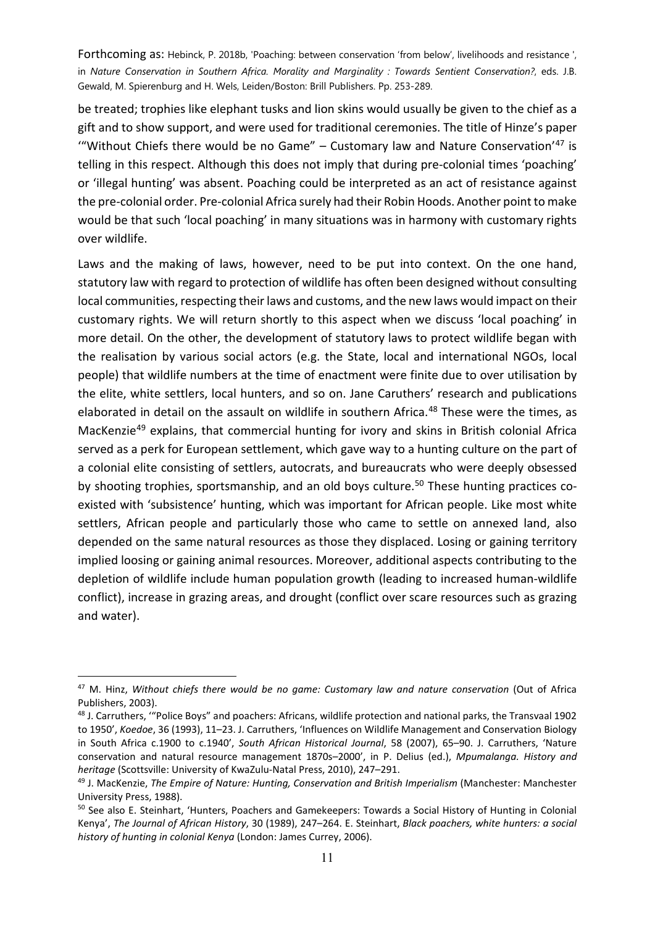be treated; trophies like elephant tusks and lion skins would usually be given to the chief as a gift and to show support, and were used for traditional ceremonies. The title of Hinze's paper "Without Chiefs there would be no Game" – Customary law and Nature Conservation $47$  is telling in this respect. Although this does not imply that during pre-colonial times 'poaching' or 'illegal hunting' was absent. Poaching could be interpreted as an act of resistance against the pre-colonial order. Pre-colonial Africa surely had their Robin Hoods. Another point to make would be that such 'local poaching' in many situations was in harmony with customary rights over wildlife.

Laws and the making of laws, however, need to be put into context. On the one hand, statutory law with regard to protection of wildlife has often been designed without consulting local communities, respecting their laws and customs, and the new laws would impact on their customary rights. We will return shortly to this aspect when we discuss 'local poaching' in more detail. On the other, the development of statutory laws to protect wildlife began with the realisation by various social actors (e.g. the State, local and international NGOs, local people) that wildlife numbers at the time of enactment were finite due to over utilisation by the elite, white settlers, local hunters, and so on. Jane Caruthers' research and publications elaborated in detail on the assault on wildlife in southern Africa. [48](#page-10-1) These were the times, as MacKenzie<sup>[49](#page-10-2)</sup> explains, that commercial hunting for ivory and skins in British colonial Africa served as a perk for European settlement, which gave way to a hunting culture on the part of a colonial elite consisting of settlers, autocrats, and bureaucrats who were deeply obsessed by shooting trophies, sportsmanship, and an old boys culture.<sup>[50](#page-10-3)</sup> These hunting practices coexisted with 'subsistence' hunting, which was important for African people. Like most white settlers, African people and particularly those who came to settle on annexed land, also depended on the same natural resources as those they displaced. Losing or gaining territory implied loosing or gaining animal resources. Moreover, additional aspects contributing to the depletion of wildlife include human population growth (leading to increased human-wildlife conflict), increase in grazing areas, and drought (conflict over scare resources such as grazing and water).

<span id="page-10-0"></span><sup>47</sup> M. Hinz, *Without chiefs there would be no game: Customary law and nature conservation* (Out of Africa Publishers, 2003).

<span id="page-10-1"></span><sup>48</sup> J. Carruthers, '"Police Boys" and poachers: Africans, wildlife protection and national parks, the Transvaal 1902 to 1950', *Koedoe*, 36 (1993), 11–23. J. Carruthers, 'Influences on Wildlife Management and Conservation Biology in South Africa c.1900 to c.1940', *South African Historical Journal*, 58 (2007), 65–90. J. Carruthers, 'Nature conservation and natural resource management 1870s–2000', in P. Delius (ed.), *Mpumalanga. History and heritage* (Scottsville: University of KwaZulu-Natal Press, 2010), 247–291.

<span id="page-10-2"></span><sup>49</sup> J. MacKenzie, *The Empire of Nature: Hunting, Conservation and British Imperialism* (Manchester: Manchester University Press, 1988).

<span id="page-10-3"></span><sup>&</sup>lt;sup>50</sup> See also E. Steinhart, 'Hunters, Poachers and Gamekeepers: Towards a Social History of Hunting in Colonial Kenya', *The Journal of African History*, 30 (1989), 247–264. E. Steinhart, *Black poachers, white hunters: a social history of hunting in colonial Kenya* (London: James Currey, 2006).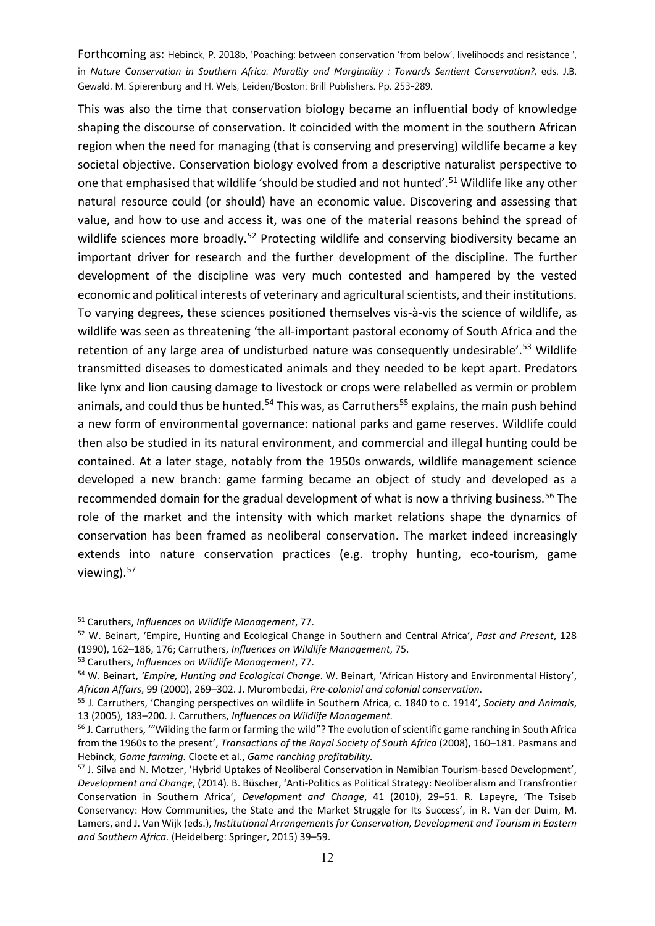This was also the time that conservation biology became an influential body of knowledge shaping the discourse of conservation. It coincided with the moment in the southern African region when the need for managing (that is conserving and preserving) wildlife became a key societal objective. Conservation biology evolved from a descriptive naturalist perspective to one that emphasised that wildlife 'should be studied and not hunted'. [51](#page-11-0) Wildlife like any other natural resource could (or should) have an economic value. Discovering and assessing that value, and how to use and access it, was one of the material reasons behind the spread of wildlife sciences more broadly.<sup>[52](#page-11-1)</sup> Protecting wildlife and conserving biodiversity became an important driver for research and the further development of the discipline. The further development of the discipline was very much contested and hampered by the vested economic and political interests of veterinary and agricultural scientists, and their institutions. To varying degrees, these sciences positioned themselves vis-à-vis the science of wildlife, as wildlife was seen as threatening 'the all-important pastoral economy of South Africa and the retention of any large area of undisturbed nature was consequently undesirable'.<sup>[53](#page-11-2)</sup> Wildlife transmitted diseases to domesticated animals and they needed to be kept apart. Predators like lynx and lion causing damage to livestock or crops were relabelled as vermin or problem animals, and could thus be hunted.<sup>[54](#page-11-3)</sup> This was, as Carruthers<sup>[55](#page-11-4)</sup> explains, the main push behind a new form of environmental governance: national parks and game reserves. Wildlife could then also be studied in its natural environment, and commercial and illegal hunting could be contained. At a later stage, notably from the 1950s onwards, wildlife management science developed a new branch: game farming became an object of study and developed as a recommended domain for the gradual development of what is now a thriving business.<sup>[56](#page-11-5)</sup> The role of the market and the intensity with which market relations shape the dynamics of conservation has been framed as neoliberal conservation. The market indeed increasingly extends into nature conservation practices (e.g. trophy hunting, eco-tourism, game viewing). [57](#page-11-6)

<span id="page-11-0"></span><sup>51</sup> Caruthers, *Influences on Wildlife Management*, 77.

<span id="page-11-1"></span><sup>52</sup> W. Beinart, 'Empire, Hunting and Ecological Change in Southern and Central Africa', *Past and Present*, 128 (1990), 162–186, 176; Carruthers, *Influences on Wildlife Management*, 75.

<span id="page-11-2"></span><sup>53</sup> Caruthers, *Influences on Wildlife Management*, 77.

<span id="page-11-3"></span><sup>54</sup> W. Beinart, *'Empire, Hunting and Ecological Change*. W. Beinart, 'African History and Environmental History', *African Affairs*, 99 (2000), 269–302. J. Murombedzi, *Pre-colonial and colonial conservation*.

<span id="page-11-4"></span><sup>55</sup> J. Carruthers, 'Changing perspectives on wildlife in Southern Africa, c. 1840 to c. 1914', *Society and Animals*, 13 (2005), 183–200. J. Carruthers, *Influences on Wildlife Management.*

<span id="page-11-5"></span><sup>56</sup> J. Carruthers, '"Wilding the farm or farming the wild"? The evolution of scientific game ranching in South Africa from the 1960s to the present', *Transactions of the Royal Society of South Africa* (2008), 160–181. Pasmans and Hebinck, *Game farming.* Cloete et al., *Game ranching profitability.*

<span id="page-11-6"></span><sup>57</sup> J. Silva and N. Motzer, 'Hybrid Uptakes of Neoliberal Conservation in Namibian Tourism-based Development', *Development and Change*, (2014). B. Büscher, 'Anti-Politics as Political Strategy: Neoliberalism and Transfrontier Conservation in Southern Africa', *Development and Change*, 41 (2010), 29–51. R. Lapeyre, 'The Tsiseb Conservancy: How Communities, the State and the Market Struggle for Its Success', in R. Van der Duim, M. Lamers, and J. Van Wijk (eds.), *Institutional Arrangements for Conservation, Development and Tourism in Eastern and Southern Africa.* (Heidelberg: Springer, 2015) 39–59.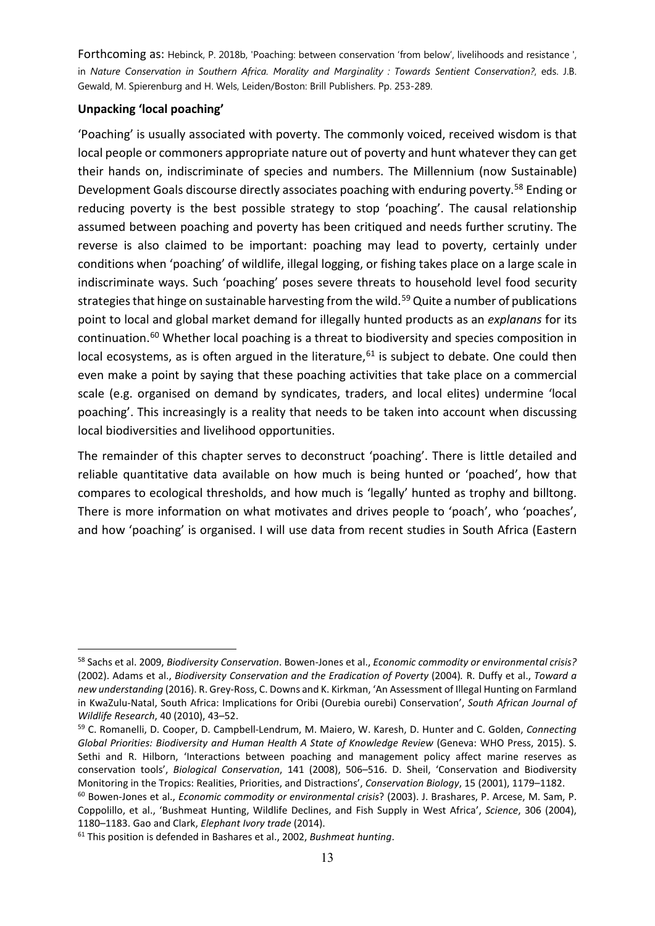### **Unpacking 'local poaching'**

 $\overline{a}$ 

'Poaching' is usually associated with poverty. The commonly voiced, received wisdom is that local people or commoners appropriate nature out of poverty and hunt whatever they can get their hands on, indiscriminate of species and numbers. The Millennium (now Sustainable) Development Goals discourse directly associates poaching with enduring poverty.<sup>[58](#page-12-0)</sup> Ending or reducing poverty is the best possible strategy to stop 'poaching'. The causal relationship assumed between poaching and poverty has been critiqued and needs further scrutiny. The reverse is also claimed to be important: poaching may lead to poverty, certainly under conditions when 'poaching' of wildlife, illegal logging, or fishing takes place on a large scale in indiscriminate ways. Such 'poaching' poses severe threats to household level food security strategies that hinge on sustainable harvesting from the wild. [59](#page-12-1) Quite a number of publications point to local and global market demand for illegally hunted products as an *explanans* for its continuation.<sup>[60](#page-12-2)</sup> Whether local poaching is a threat to biodiversity and species composition in local ecosystems, as is often argued in the literature,<sup>[61](#page-12-3)</sup> is subject to debate. One could then even make a point by saying that these poaching activities that take place on a commercial scale (e.g. organised on demand by syndicates, traders, and local elites) undermine 'local poaching'. This increasingly is a reality that needs to be taken into account when discussing local biodiversities and livelihood opportunities.

The remainder of this chapter serves to deconstruct 'poaching'. There is little detailed and reliable quantitative data available on how much is being hunted or 'poached', how that compares to ecological thresholds, and how much is 'legally' hunted as trophy and billtong. There is more information on what motivates and drives people to 'poach', who 'poaches', and how 'poaching' is organised. I will use data from recent studies in South Africa (Eastern

<span id="page-12-0"></span><sup>58</sup> Sachs et al. 2009, *Biodiversity Conservation*. Bowen-Jones et al., *Economic commodity or environmental crisis?* (2002). Adams et al., *Biodiversity Conservation and the Eradication of Poverty* (2004)*.* R. Duffy et al., *Toward a new understanding* (2016). R. Grey-Ross, C. Downs and K. Kirkman, 'An Assessment of Illegal Hunting on Farmland in KwaZulu-Natal, South Africa: Implications for Oribi (Ourebia ourebi) Conservation', *South African Journal of Wildlife Research*, 40 (2010), 43–52.

<span id="page-12-1"></span><sup>59</sup> C. Romanelli, D. Cooper, D. Campbell-Lendrum, M. Maiero, W. Karesh, D. Hunter and C. Golden, *Connecting Global Priorities: Biodiversity and Human Health A State of Knowledge Review* (Geneva: WHO Press, 2015). S. Sethi and R. Hilborn, 'Interactions between poaching and management policy affect marine reserves as conservation tools', *Biological Conservation*, 141 (2008), 506–516. D. Sheil, 'Conservation and Biodiversity Monitoring in the Tropics: Realities, Priorities, and Distractions', *Conservation Biology*, 15 (2001), 1179–1182.

<span id="page-12-2"></span><sup>60</sup> Bowen-Jones et al., *Economic commodity or environmental crisis*? (2003). J. Brashares, P. Arcese, M. Sam, P. Coppolillo, et al., 'Bushmeat Hunting, Wildlife Declines, and Fish Supply in West Africa', *Science*, 306 (2004), 1180–1183. Gao and Clark, *Elephant Ivory trade* (2014).

<span id="page-12-3"></span><sup>61</sup> This position is defended in Bashares et al., 2002, *Bushmeat hunting*.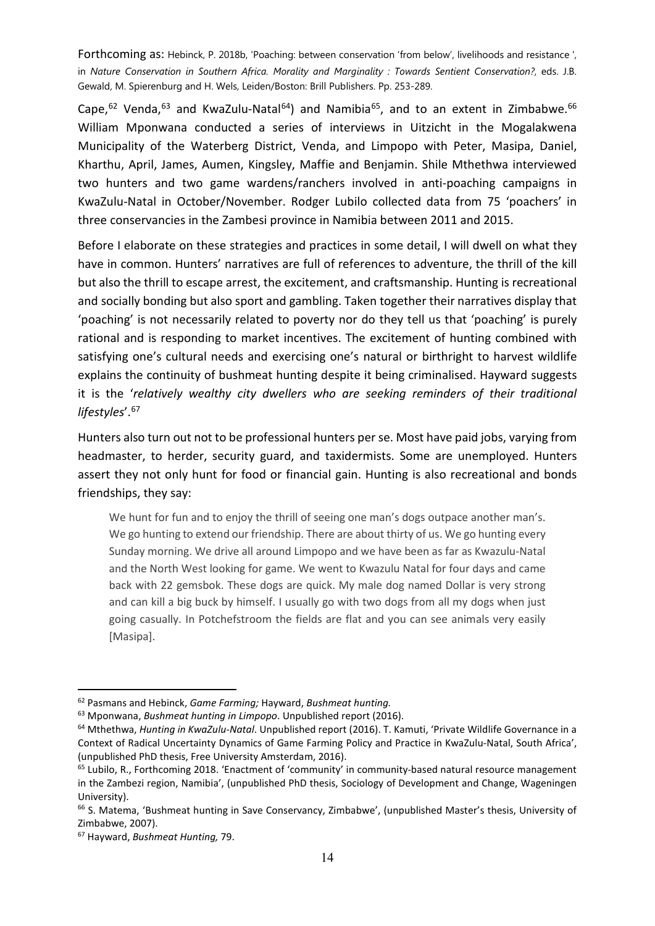Cape,<sup>[62](#page-13-0)</sup> Venda,<sup>[63](#page-13-1)</sup> and KwaZulu-Natal<sup>[64](#page-13-2)</sup>) and Namibia<sup>65</sup>, and to an extent in Zimbabwe.<sup>[66](#page-13-4)</sup> William Mponwana conducted a series of interviews in Uitzicht in the Mogalakwena Municipality of the Waterberg District, Venda, and Limpopo with Peter, Masipa, Daniel, Kharthu, April, James, Aumen, Kingsley, Maffie and Benjamin. Shile Mthethwa interviewed two hunters and two game wardens/ranchers involved in anti-poaching campaigns in KwaZulu-Natal in October/November. Rodger Lubilo collected data from 75 'poachers' in three conservancies in the Zambesi province in Namibia between 2011 and 2015.

Before I elaborate on these strategies and practices in some detail, I will dwell on what they have in common. Hunters' narratives are full of references to adventure, the thrill of the kill but also the thrill to escape arrest, the excitement, and craftsmanship. Hunting is recreational and socially bonding but also sport and gambling. Taken together their narratives display that 'poaching' is not necessarily related to poverty nor do they tell us that 'poaching' is purely rational and is responding to market incentives. The excitement of hunting combined with satisfying one's cultural needs and exercising one's natural or birthright to harvest wildlife explains the continuity of bushmeat hunting despite it being criminalised. Hayward suggests it is the '*relatively wealthy city dwellers who are seeking reminders of their traditional lifestyles*'[.67](#page-13-5)

Hunters also turn out not to be professional hunters per se. Most have paid jobs, varying from headmaster, to herder, security guard, and taxidermists. Some are unemployed. Hunters assert they not only hunt for food or financial gain. Hunting is also recreational and bonds friendships, they say:

We hunt for fun and to enjoy the thrill of seeing one man's dogs outpace another man's. We go hunting to extend our friendship. There are about thirty of us. We go hunting every Sunday morning. We drive all around Limpopo and we have been as far as Kwazulu-Natal and the North West looking for game. We went to Kwazulu Natal for four days and came back with 22 gemsbok. These dogs are quick. My male dog named Dollar is very strong and can kill a big buck by himself. I usually go with two dogs from all my dogs when just going casually. In Potchefstroom the fields are flat and you can see animals very easily [Masipa].

<span id="page-13-0"></span><sup>62</sup> Pasmans and Hebinck, *Game Farming;* Hayward, *Bushmeat hunting.*

<span id="page-13-1"></span><sup>63</sup> Mponwana, *Bushmeat hunting in Limpopo*. Unpublished report (2016).

<span id="page-13-2"></span><sup>64</sup> Mthethwa, *Hunting in KwaZulu-Natal*. Unpublished report (2016). T. Kamuti, 'Private Wildlife Governance in a Context of Radical Uncertainty Dynamics of Game Farming Policy and Practice in KwaZulu-Natal, South Africa', (unpublished PhD thesis, Free University Amsterdam, 2016).

<span id="page-13-3"></span><sup>&</sup>lt;sup>65</sup> Lubilo, R., Forthcoming 2018. 'Enactment of 'community' in community-based natural resource management in the Zambezi region, Namibia', (unpublished PhD thesis, Sociology of Development and Change, Wageningen University).

<span id="page-13-4"></span><sup>&</sup>lt;sup>66</sup> S. Matema, 'Bushmeat hunting in Save Conservancy, Zimbabwe', (unpublished Master's thesis, University of Zimbabwe, 2007).

<span id="page-13-5"></span><sup>67</sup> Hayward, *Bushmeat Hunting,* 79.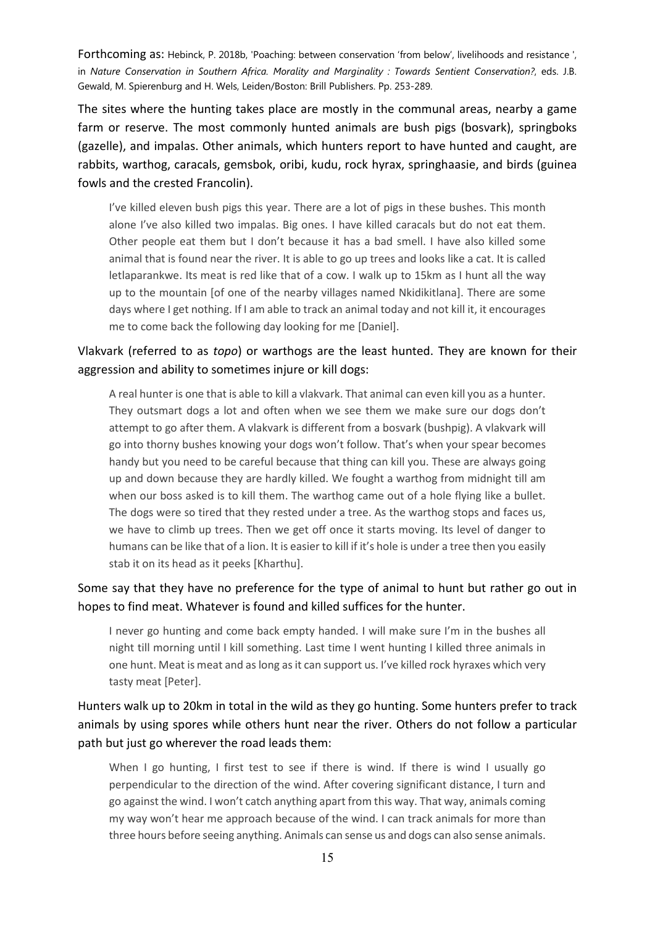The sites where the hunting takes place are mostly in the communal areas, nearby a game farm or reserve. The most commonly hunted animals are bush pigs (bosvark), springboks (gazelle), and impalas. Other animals, which hunters report to have hunted and caught, are rabbits, warthog, caracals, gemsbok, oribi, kudu, rock hyrax, springhaasie, and birds (guinea fowls and the crested Francolin).

I've killed eleven bush pigs this year. There are a lot of pigs in these bushes. This month alone I've also killed two impalas. Big ones. I have killed caracals but do not eat them. Other people eat them but I don't because it has a bad smell. I have also killed some animal that is found near the river. It is able to go up trees and looks like a cat. It is called letlaparankwe. Its meat is red like that of a cow. I walk up to 15km as I hunt all the way up to the mountain [of one of the nearby villages named Nkidikitlana]. There are some days where I get nothing. If I am able to track an animal today and not kill it, it encourages me to come back the following day looking for me [Daniel].

# Vlakvark (referred to as *topo*) or warthogs are the least hunted. They are known for their aggression and ability to sometimes injure or kill dogs:

A real hunter is one that is able to kill a vlakvark. That animal can even kill you as a hunter. They outsmart dogs a lot and often when we see them we make sure our dogs don't attempt to go after them. A vlakvark is different from a bosvark (bushpig). A vlakvark will go into thorny bushes knowing your dogs won't follow. That's when your spear becomes handy but you need to be careful because that thing can kill you. These are always going up and down because they are hardly killed. We fought a warthog from midnight till am when our boss asked is to kill them. The warthog came out of a hole flying like a bullet. The dogs were so tired that they rested under a tree. As the warthog stops and faces us, we have to climb up trees. Then we get off once it starts moving. Its level of danger to humans can be like that of a lion. It is easier to kill if it's hole is under a tree then you easily stab it on its head as it peeks [Kharthu].

# Some say that they have no preference for the type of animal to hunt but rather go out in hopes to find meat. Whatever is found and killed suffices for the hunter.

I never go hunting and come back empty handed. I will make sure I'm in the bushes all night till morning until I kill something. Last time I went hunting I killed three animals in one hunt. Meat is meat and as long as it can support us. I've killed rock hyraxes which very tasty meat [Peter].

Hunters walk up to 20km in total in the wild as they go hunting. Some hunters prefer to track animals by using spores while others hunt near the river. Others do not follow a particular path but just go wherever the road leads them:

When I go hunting, I first test to see if there is wind. If there is wind I usually go perpendicular to the direction of the wind. After covering significant distance, I turn and go against the wind. I won't catch anything apart from this way. That way, animals coming my way won't hear me approach because of the wind. I can track animals for more than three hours before seeing anything. Animals can sense us and dogs can also sense animals.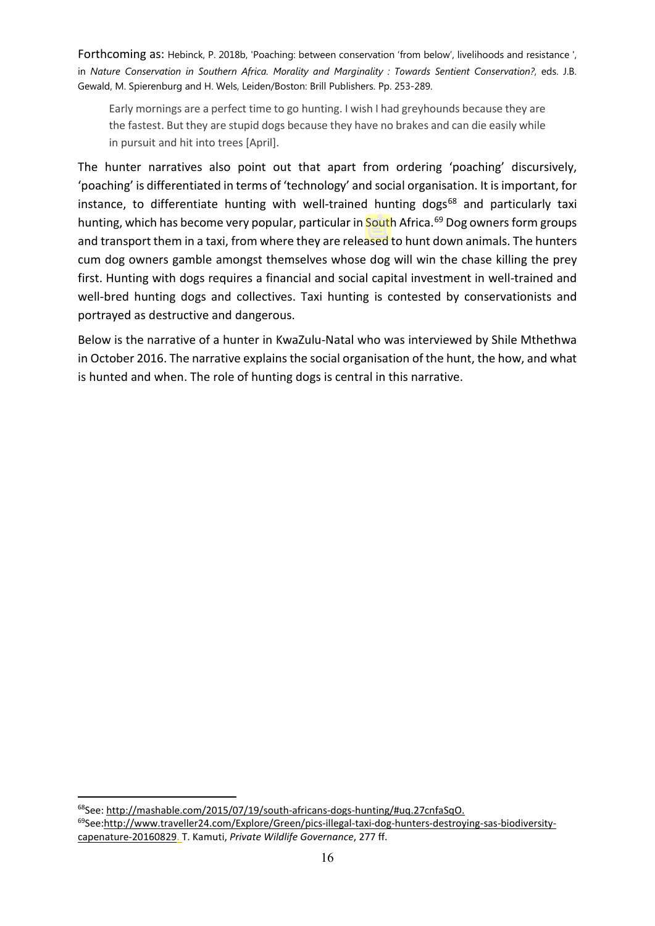Early mornings are a perfect time to go hunting. I wish I had greyhounds because they are the fastest. But they are stupid dogs because they have no brakes and can die easily while in pursuit and hit into trees [April].

The hunter narratives also point out that apart from ordering 'poaching' discursively, 'poaching' is differentiated in terms of 'technology' and social organisation. It is important, for instance, to differentiate hunting with well-trained hunting dogs<sup>[68](#page-15-0)</sup> and particularly taxi hunting, which has become very popular, particular in South Africa. [69](#page-15-1) Dog owners form groups and transport them in a taxi, from where they are released to hunt down animals. The hunters cum dog owners gamble amongst themselves whose dog will win the chase killing the prey first. Hunting with dogs requires a financial and social capital investment in well-trained and well-bred hunting dogs and collectives. Taxi hunting is contested by conservationists and portrayed as destructive and dangerous.

Below is the narrative of a hunter in KwaZulu-Natal who was interviewed by Shile Mthethwa in October 2016. The narrative explains the social organisation of the hunt, the how, and what is hunted and when. The role of hunting dogs is central in this narrative.

<span id="page-15-1"></span><span id="page-15-0"></span><sup>&</sup>lt;sup>68</sup>See: [http://mashable.com/2015/07/19/south-africans-dogs-hunting/#uq.27cnfaSqO.](http://mashable.com/2015/07/19/south-africans-dogs-hunting/#uq.27cnfaSqO)<br><sup>69</sup>See:http://www.traveller24.com/Explo<u>re/Green/pics-illegal-taxi-dog-hunters-destroying-sas-biodiversity-</u> [capenature-20160829.](http://www.traveller24.com/Explore/Green/pics-illegal-taxi-dog-hunters-destroying-sas-biodiversity-capenature-20160829) T. Kamuti, *Private Wildlife Governance*, 277 ff.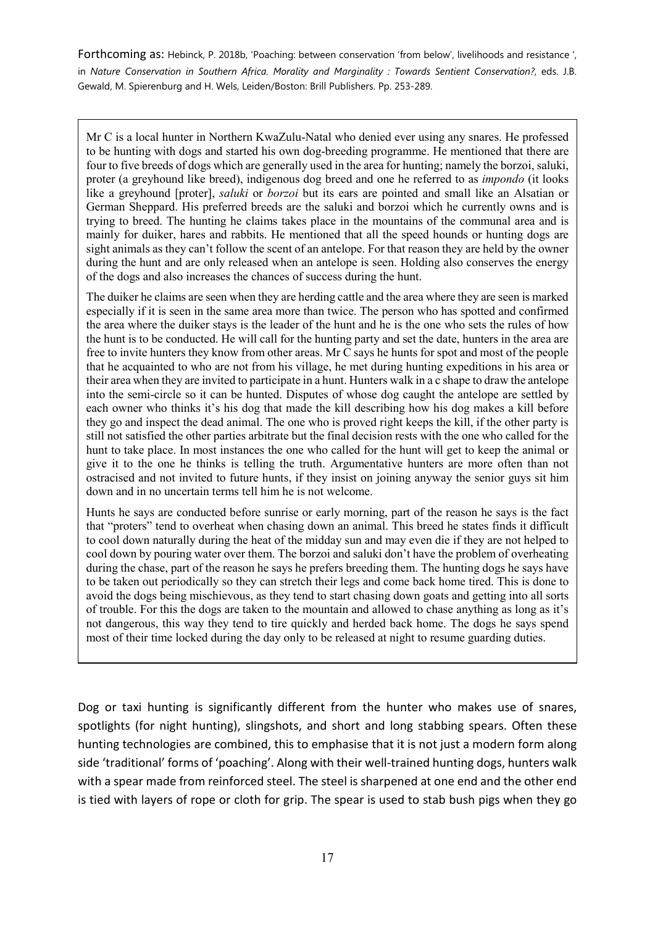<span id="page-16-0"></span>Mr C is a local hunter in Northern KwaZulu-Natal who denied ever using any snares. He professed to be hunting with dogs and started his own dog-breeding programme. He mentioned that there are four to five breeds of dogs which are generally used in the area for hunting; namely the borzoi, saluki, proter (a greyhound like breed), indigenous dog breed and one he referred to as *impondo* (it looks like a greyhound [proter], *saluki* or *borzoi* but its ears are pointed and small like an Alsatian or German Sheppard. His preferred breeds are the saluki and borzoi which he currently owns and is trying to breed. The hunting he claims takes place in the mountains of the communal area and is mainly for duiker, hares and rabbits. He mentioned that all the speed hounds or hunting dogs are sight animals as they can't follow the scent of an antelope. For that reason they are held by the owner during the hunt and are only released when an antelope is seen. Holding also conserves the energy of the dogs and also increases the chances of success during the hunt.

The duiker he claims are seen when they are herding cattle and the area where they are seen is marked especially if it is seen in the same area more than twice. The person who has spotted and confirmed the area where the duiker stays is the leader of the hunt and he is the one who sets the rules of how the hunt is to be conducted. He will call for the hunting party and set the date, hunters in the area are free to invite hunters they know from other areas. Mr C says he hunts for spot and most of the people that he acquainted to who are not from his village, he met during hunting expeditions in his area or their area when they are invited to participate in a hunt. Hunters walk in a c shape to draw the antelope into the semi-circle so it can be hunted. Disputes of whose dog caught the antelope are settled by each owner who thinks it's his dog that made the kill describing how his dog makes a kill before they go and inspect the dead animal. The one who is proved right keeps the kill, if the other party is still not satisfied the other parties arbitrate but the final decision rests with the one who called for the hunt to take place. In most instances the one who called for the hunt will get to keep the animal or give it to the one he thinks is telling the truth. Argumentative hunters are more often than not ostracised and not invited to future hunts, if they insist on joining anyway the senior guys sit him down and in no uncertain terms tell him he is not welcome.

Hunts he says are conducted before sunrise or early morning, part of the reason he says is the fact that "proters" tend to overheat when chasing down an animal. This breed he states finds it difficult to cool down naturally during the heat of the midday sun and may even die if they are not helped to cool down by pouring water over them. The borzoi and saluki don't have the problem of overheating during the chase, part of the reason he says he prefers breeding them. The hunting dogs he says have to be taken out periodically so they can stretch their legs and come back home tired. This is done to avoid the dogs being mischievous, as they tend to start chasing down goats and getting into all sorts of trouble. For this the dogs are taken to the mountain and allowed to chase anything as long as it's not dangerous, this way they tend to tire quickly and herded back home. The dogs he says spend most of their time locked during the day only to be released at night to resume guarding duties.

Dog or taxi hunting is significantly different from the hunter who makes use of snares, spotlights (for night hunting), slingshots, and short and long stabbing spears. Often these hunting technologies are combined, this to emphasise that it is not just a modern form along side 'traditional' forms of 'poaching'. Along with their well-trained hunting dogs, hunters walk with a spear made from reinforced steel. The steel is sharpened at one end and the other end is tied with layers of rope or cloth for grip. The spear is used to stab bush pigs when they go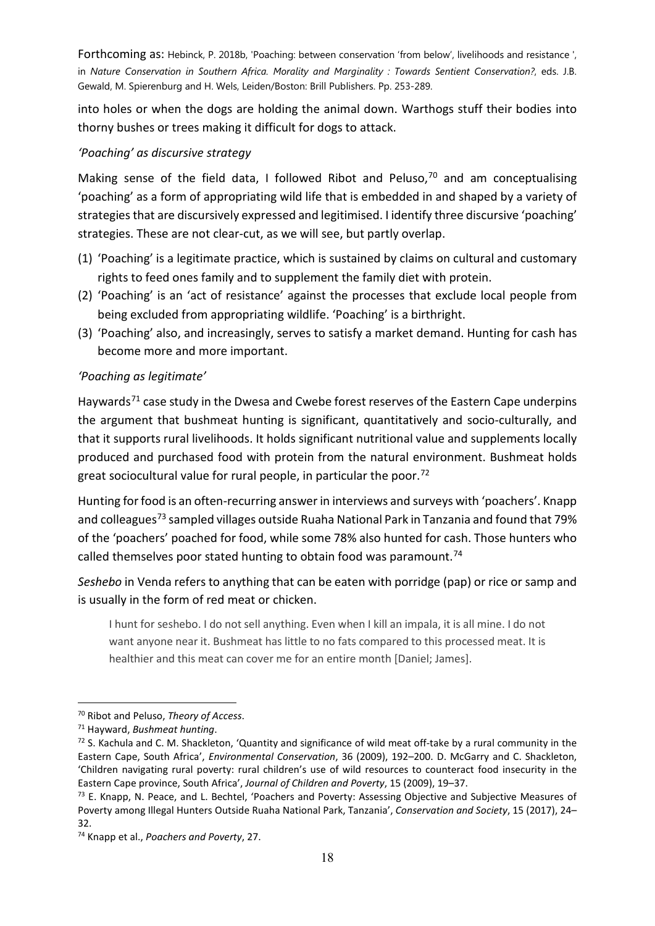into holes or when the dogs are holding the animal down. Warthogs stuff their bodies into thorny bushes or trees making it difficult for dogs to attack.

## *'Poaching' as discursive strategy*

Making sense of the field data, I followed Ribot and Peluso,<sup>[70](#page-17-0)</sup> and am conceptualising 'poaching' as a form of appropriating wild life that is embedded in and shaped by a variety of strategies that are discursively expressed and legitimised. I identify three discursive 'poaching' strategies. These are not clear-cut, as we will see, but partly overlap.

- (1) 'Poaching' is a legitimate practice, which is sustained by claims on cultural and customary rights to feed ones family and to supplement the family diet with protein.
- (2) 'Poaching' is an 'act of resistance' against the processes that exclude local people from being excluded from appropriating wildlife. 'Poaching' is a birthright.
- (3) 'Poaching' also, and increasingly, serves to satisfy a market demand. Hunting for cash has become more and more important.

# *'Poaching as legitimate'*

Haywards<sup>[71](#page-17-1)</sup> case study in the Dwesa and Cwebe forest reserves of the Eastern Cape underpins the argument that bushmeat hunting is significant, quantitatively and socio-culturally, and that it supports rural livelihoods. It holds significant nutritional value and supplements locally produced and purchased food with protein from the natural environment. Bushmeat holds great sociocultural value for rural people, in particular the poor. [72](#page-17-2)

Hunting for food is an often-recurring answer in interviews and surveys with 'poachers'. Knapp and colleagues<sup>[73](#page-17-3)</sup> sampled villages outside Ruaha National Park in Tanzania and found that 79% of the 'poachers' poached for food, while some 78% also hunted for cash. Those hunters who called themselves poor stated hunting to obtain food was paramount.<sup>[74](#page-17-4)</sup>

*Seshebo* in Venda refers to anything that can be eaten with porridge (pap) or rice or samp and is usually in the form of red meat or chicken.

I hunt for seshebo. I do not sell anything. Even when I kill an impala, it is all mine. I do not want anyone near it. Bushmeat has little to no fats compared to this processed meat. It is healthier and this meat can cover me for an entire month [Daniel; James].

<span id="page-17-0"></span><sup>70</sup> Ribot and Peluso, *Theory of Access*.

<span id="page-17-1"></span><sup>71</sup> Hayward, *Bushmeat hunting*.

<span id="page-17-2"></span> $72$  S. Kachula and C. M. Shackleton, 'Quantity and significance of wild meat off-take by a rural community in the Eastern Cape, South Africa', *Environmental Conservation*, 36 (2009), 192–200. D. McGarry and C. Shackleton, 'Children navigating rural poverty: rural children's use of wild resources to counteract food insecurity in the Eastern Cape province, South Africa', *Journal of Children and Poverty*, 15 (2009), 19–37.

<span id="page-17-3"></span><sup>&</sup>lt;sup>73</sup> E. Knapp, N. Peace, and L. Bechtel, 'Poachers and Poverty: Assessing Objective and Subjective Measures of Poverty among Illegal Hunters Outside Ruaha National Park, Tanzania', *Conservation and Society*, 15 (2017), 24– 32.

<span id="page-17-4"></span><sup>74</sup> Knapp et al., *Poachers and Poverty*, 27.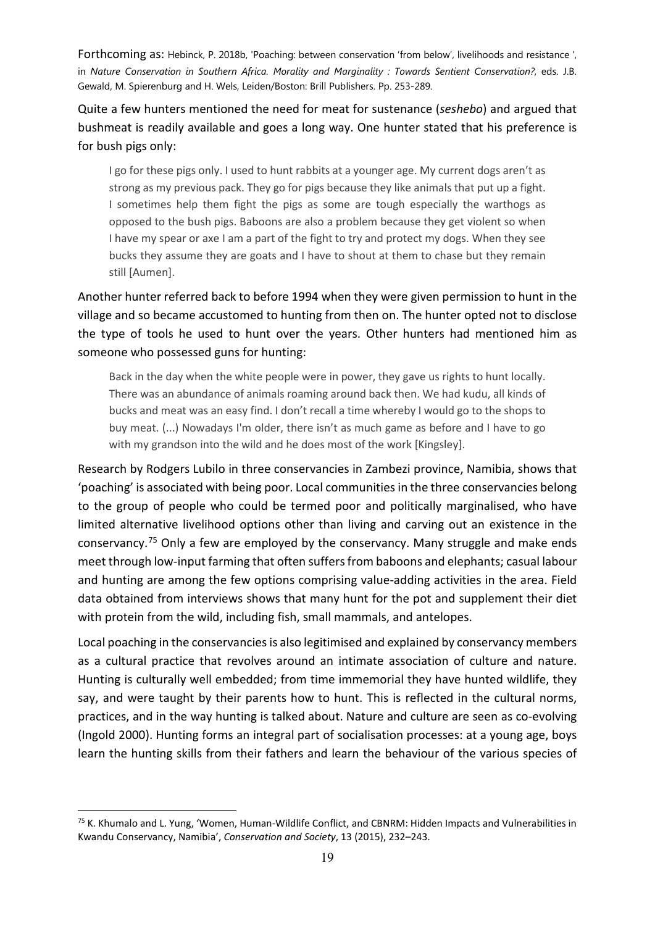Quite a few hunters mentioned the need for meat for sustenance (*seshebo*) and argued that bushmeat is readily available and goes a long way. One hunter stated that his preference is for bush pigs only:

I go for these pigs only. I used to hunt rabbits at a younger age. My current dogs aren't as strong as my previous pack. They go for pigs because they like animals that put up a fight. I sometimes help them fight the pigs as some are tough especially the warthogs as opposed to the bush pigs. Baboons are also a problem because they get violent so when I have my spear or axe I am a part of the fight to try and protect my dogs. When they see bucks they assume they are goats and I have to shout at them to chase but they remain still [Aumen].

Another hunter referred back to before 1994 when they were given permission to hunt in the village and so became accustomed to hunting from then on. The hunter opted not to disclose the type of tools he used to hunt over the years. Other hunters had mentioned him as someone who possessed guns for hunting:

Back in the day when the white people were in power, they gave us rights to hunt locally. There was an abundance of animals roaming around back then. We had kudu, all kinds of bucks and meat was an easy find. I don't recall a time whereby I would go to the shops to buy meat. (...) Nowadays I'm older, there isn't as much game as before and I have to go with my grandson into the wild and he does most of the work [Kingsley].

Research by Rodgers Lubilo in three conservancies in Zambezi province, Namibia, shows that 'poaching' is associated with being poor. Local communities in the three conservancies belong to the group of people who could be termed poor and politically marginalised, who have limited alternative livelihood options other than living and carving out an existence in the conservancy.<sup>[75](#page-18-0)</sup> Only a few are employed by the conservancy. Many struggle and make ends meet through low-input farming that often suffers from baboons and elephants; casual labour and hunting are among the few options comprising value-adding activities in the area. Field data obtained from interviews shows that many hunt for the pot and supplement their diet with protein from the wild, including fish, small mammals, and antelopes.

Local poaching in the conservancies is also legitimised and explained by conservancy members as a cultural practice that revolves around an intimate association of culture and nature. Hunting is culturally well embedded; from time immemorial they have hunted wildlife, they say, and were taught by their parents how to hunt. This is reflected in the cultural norms, practices, and in the way hunting is talked about. Nature and culture are seen as co-evolving (Ingold 2000). Hunting forms an integral part of socialisation processes: at a young age, boys learn the hunting skills from their fathers and learn the behaviour of the various species of

<span id="page-18-0"></span><sup>75</sup> K. Khumalo and L. Yung, 'Women, Human-Wildlife Conflict, and CBNRM: Hidden Impacts and Vulnerabilities in Kwandu Conservancy, Namibia', *Conservation and Society*, 13 (2015), 232–243.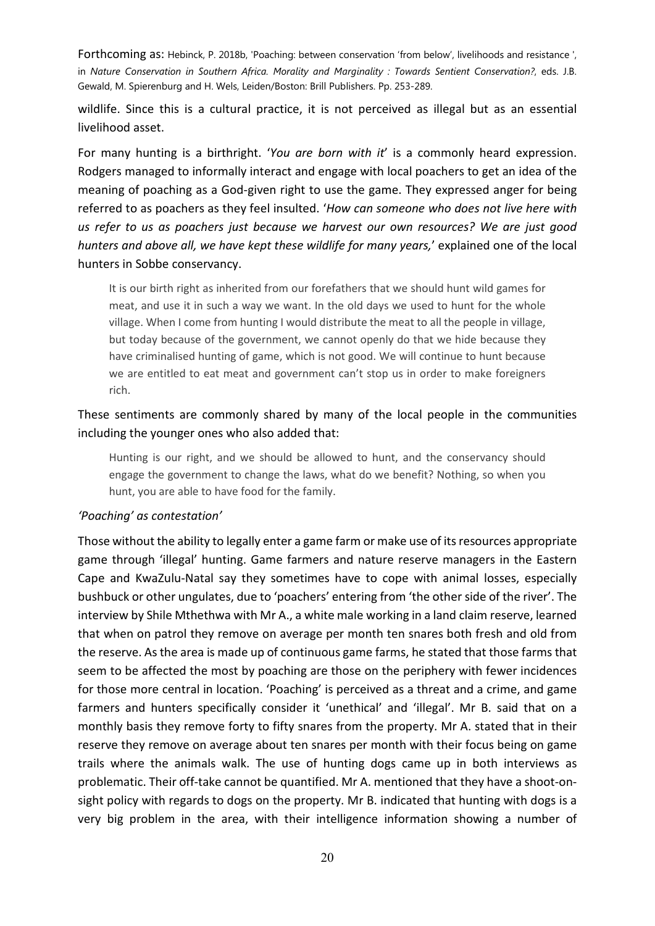wildlife. Since this is a cultural practice, it is not perceived as illegal but as an essential livelihood asset.

For many hunting is a birthright. '*You are born with it*' is a commonly heard expression. Rodgers managed to informally interact and engage with local poachers to get an idea of the meaning of poaching as a God-given right to use the game. They expressed anger for being referred to as poachers as they feel insulted. '*How can someone who does not live here with us refer to us as poachers just because we harvest our own resources? We are just good hunters and above all, we have kept these wildlife for many years,*' explained one of the local hunters in Sobbe conservancy.

It is our birth right as inherited from our forefathers that we should hunt wild games for meat, and use it in such a way we want. In the old days we used to hunt for the whole village. When I come from hunting I would distribute the meat to all the people in village, but today because of the government, we cannot openly do that we hide because they have criminalised hunting of game, which is not good. We will continue to hunt because we are entitled to eat meat and government can't stop us in order to make foreigners rich.

These sentiments are commonly shared by many of the local people in the communities including the younger ones who also added that:

Hunting is our right, and we should be allowed to hunt, and the conservancy should engage the government to change the laws, what do we benefit? Nothing, so when you hunt, you are able to have food for the family.

### *'Poaching' as contestation'*

Those without the ability to legally enter a game farm or make use of its resources appropriate game through 'illegal' hunting. Game farmers and nature reserve managers in the Eastern Cape and KwaZulu-Natal say they sometimes have to cope with animal losses, especially bushbuck or other ungulates, due to 'poachers' entering from 'the other side of the river'. The interview by Shile Mthethwa with Mr A., a white male working in a land claim reserve, learned that when on patrol they remove on average per month ten snares both fresh and old from the reserve. As the area is made up of continuous game farms, he stated that those farms that seem to be affected the most by poaching are those on the periphery with fewer incidences for those more central in location. 'Poaching' is perceived as a threat and a crime, and game farmers and hunters specifically consider it 'unethical' and 'illegal'. Mr B. said that on a monthly basis they remove forty to fifty snares from the property. Mr A. stated that in their reserve they remove on average about ten snares per month with their focus being on game trails where the animals walk. The use of hunting dogs came up in both interviews as problematic. Their off-take cannot be quantified. Mr A. mentioned that they have a shoot-onsight policy with regards to dogs on the property. Mr B. indicated that hunting with dogs is a very big problem in the area, with their intelligence information showing a number of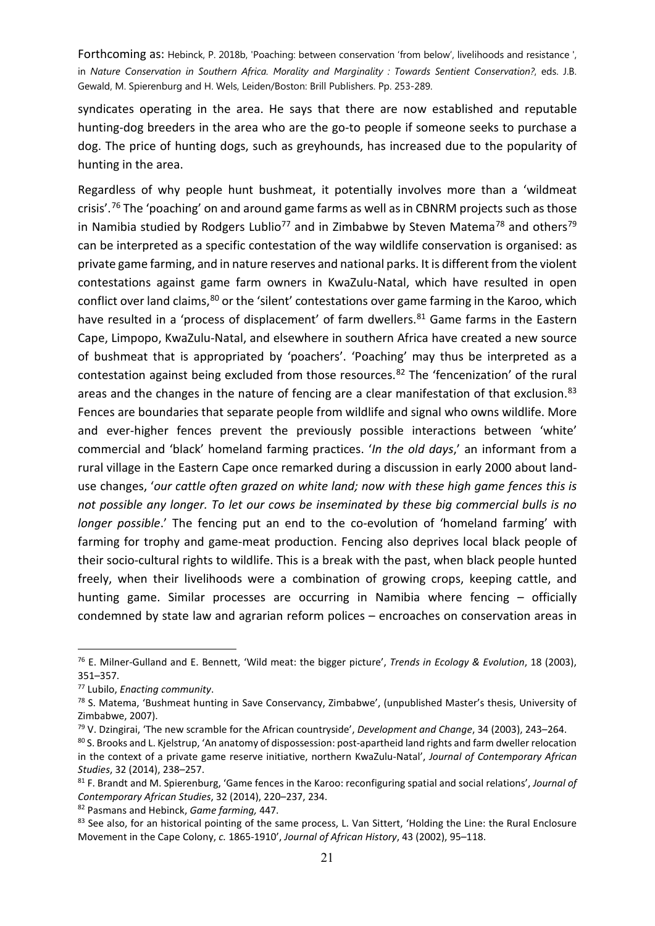syndicates operating in the area. He says that there are now established and reputable hunting-dog breeders in the area who are the go-to people if someone seeks to purchase a dog. The price of hunting dogs, such as greyhounds, has increased due to the popularity of hunting in the area.

Regardless of why people hunt bushmeat, it potentially involves more than a 'wildmeat crisis'.<sup>[76](#page-20-0)</sup> The 'poaching' on and around game farms as well as in CBNRM projects such as those in Namibia studied by Rodgers Lublio<sup>[77](#page-20-1)</sup> and in Zimbabwe by Steven Matema<sup>[78](#page-20-2)</sup> and others<sup>79</sup> can be interpreted as a specific contestation of the way wildlife conservation is organised: as private game farming, and in nature reserves and national parks. It is different from the violent contestations against game farm owners in KwaZulu-Natal, which have resulted in open conflict over land claims,<sup>[80](#page-20-4)</sup> or the 'silent' contestations over game farming in the Karoo, which have resulted in a 'process of displacement' of farm dwellers.<sup>[81](#page-20-5)</sup> Game farms in the Eastern Cape, Limpopo, KwaZulu-Natal, and elsewhere in southern Africa have created a new source of bushmeat that is appropriated by 'poachers'. 'Poaching' may thus be interpreted as a contestation against being excluded from those resources. [82](#page-20-6) The 'fencenization' of the rural areas and the changes in the nature of fencing are a clear manifestation of that exclusion.<sup>[83](#page-20-7)</sup> Fences are boundaries that separate people from wildlife and signal who owns wildlife. More and ever-higher fences prevent the previously possible interactions between 'white' commercial and 'black' homeland farming practices. '*In the old days*,' an informant from a rural village in the Eastern Cape once remarked during a discussion in early 2000 about landuse changes, '*our cattle often grazed on white land; now with these high game fences this is not possible any longer. To let our cows be inseminated by these big commercial bulls is no longer possible*.' The fencing put an end to the co-evolution of 'homeland farming' with farming for trophy and game-meat production. Fencing also deprives local black people of their socio-cultural rights to wildlife. This is a break with the past, when black people hunted freely, when their livelihoods were a combination of growing crops, keeping cattle, and hunting game. Similar processes are occurring in Namibia where fencing – officially condemned by state law and agrarian reform polices – encroaches on conservation areas in

<span id="page-20-0"></span><sup>76</sup> E. Milner-Gulland and E. Bennett, 'Wild meat: the bigger picture', *Trends in Ecology & Evolution*, 18 (2003), 351–357.

<span id="page-20-2"></span><span id="page-20-1"></span><sup>&</sup>lt;sup>77</sup> Lubilo, *Enacting community*.<br><sup>78</sup> S. Matema, 'Bushmeat hunting in Save Conservancy, Zimbabwe', (unpublished Master's thesis, University of Zimbabwe, 2007).

<span id="page-20-3"></span><sup>79</sup> V. Dzingirai, 'The new scramble for the African countryside', *Development and Change*, 34 (2003), 243–264.

<span id="page-20-4"></span><sup>80</sup> S. Brooks and L. Kjelstrup, 'An anatomy of dispossession: post-apartheid land rights and farm dweller relocation in the context of a private game reserve initiative, northern KwaZulu-Natal', *Journal of Contemporary African Studies*, 32 (2014), 238–257.

<span id="page-20-5"></span><sup>81</sup> F. Brandt and M. Spierenburg, 'Game fences in the Karoo: reconfiguring spatial and social relations', *Journal of Contemporary African Studies*, 32 (2014), 220–237, 234.

<span id="page-20-6"></span><sup>82</sup> Pasmans and Hebinck, *Game farming,* 447.

<span id="page-20-7"></span><sup>83</sup> See also, for an historical pointing of the same process, L. Van Sittert, 'Holding the Line: the Rural Enclosure Movement in the Cape Colony, *c.* 1865-1910', *Journal of African History*, 43 (2002), 95–118.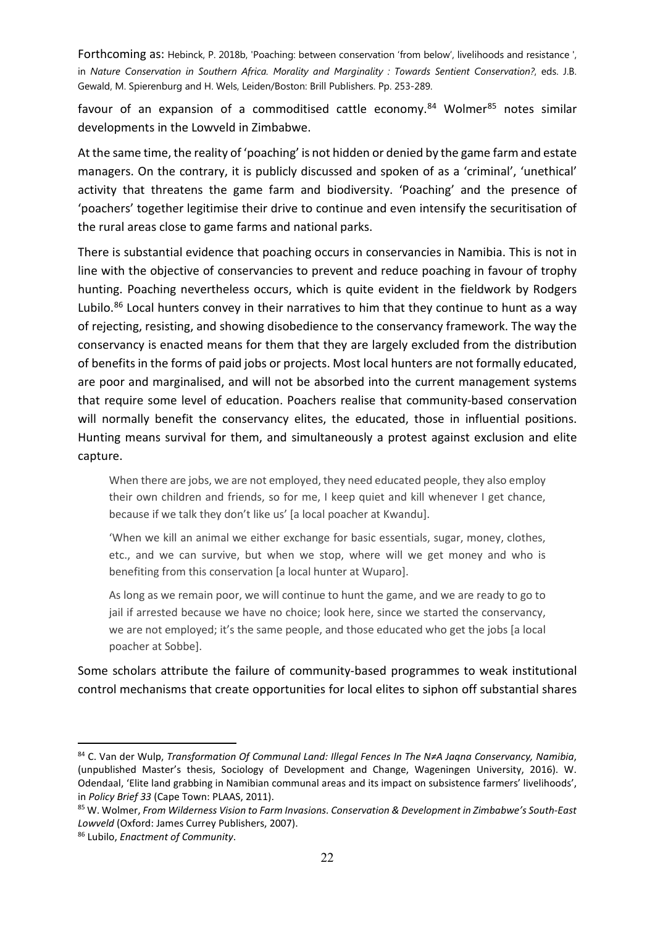favour of an expansion of a commoditised cattle economy.<sup>[84](#page-21-0)</sup> Wolmer<sup>[85](#page-21-1)</sup> notes similar developments in the Lowveld in Zimbabwe.

At the same time, the reality of 'poaching' is not hidden or denied by the game farm and estate managers. On the contrary, it is publicly discussed and spoken of as a 'criminal', 'unethical' activity that threatens the game farm and biodiversity. 'Poaching' and the presence of 'poachers' together legitimise their drive to continue and even intensify the securitisation of the rural areas close to game farms and national parks.

There is substantial evidence that poaching occurs in conservancies in Namibia. This is not in line with the objective of conservancies to prevent and reduce poaching in favour of trophy hunting. Poaching nevertheless occurs, which is quite evident in the fieldwork by Rodgers Lubilo.<sup>[86](#page-21-2)</sup> Local hunters convey in their narratives to him that they continue to hunt as a way of rejecting, resisting, and showing disobedience to the conservancy framework. The way the conservancy is enacted means for them that they are largely excluded from the distribution of benefits in the forms of paid jobs or projects. Most local hunters are not formally educated, are poor and marginalised, and will not be absorbed into the current management systems that require some level of education. Poachers realise that community-based conservation will normally benefit the conservancy elites, the educated, those in influential positions. Hunting means survival for them, and simultaneously a protest against exclusion and elite capture.

When there are jobs, we are not employed, they need educated people, they also employ their own children and friends, so for me, I keep quiet and kill whenever I get chance, because if we talk they don't like us' [a local poacher at Kwandu].

'When we kill an animal we either exchange for basic essentials, sugar, money, clothes, etc., and we can survive, but when we stop, where will we get money and who is benefiting from this conservation [a local hunter at Wuparo].

As long as we remain poor, we will continue to hunt the game, and we are ready to go to jail if arrested because we have no choice; look here, since we started the conservancy, we are not employed; it's the same people, and those educated who get the jobs [a local poacher at Sobbe].

Some scholars attribute the failure of community-based programmes to weak institutional control mechanisms that create opportunities for local elites to siphon off substantial shares

<span id="page-21-0"></span><sup>84</sup> C. Van der Wulp, *Transformation Of Communal Land: Illegal Fences In The N≠A Jaqna Conservancy, Namibia*, (unpublished Master's thesis, Sociology of Development and Change, Wageningen University, 2016). W. Odendaal, 'Elite land grabbing in Namibian communal areas and its impact on subsistence farmers' livelihoods', in *Policy Brief 33* (Cape Town: PLAAS, 2011).

<span id="page-21-1"></span><sup>85</sup> W. Wolmer, *From Wilderness Vision to Farm Invasions. Conservation & Development in Zimbabwe's South-East Lowveld* (Oxford: James Currey Publishers, 2007).

<span id="page-21-2"></span><sup>86</sup> Lubilo, *Enactment of Community*.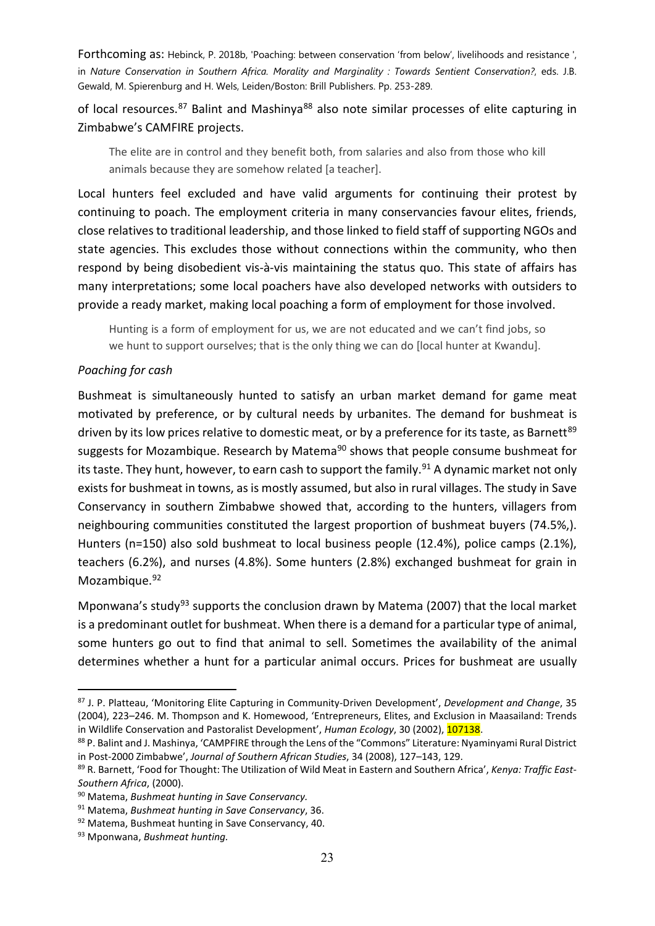of local resources.<sup>[87](#page-22-0)</sup> Balint and Mashinya<sup>[88](#page-22-1)</sup> also note similar processes of elite capturing in Zimbabwe's CAMFIRE projects.

The elite are in control and they benefit both, from salaries and also from those who kill animals because they are somehow related [a teacher].

Local hunters feel excluded and have valid arguments for continuing their protest by continuing to poach. The employment criteria in many conservancies favour elites, friends, close relatives to traditional leadership, and those linked to field staff of supporting NGOs and state agencies. This excludes those without connections within the community, who then respond by being disobedient vis-à-vis maintaining the status quo. This state of affairs has many interpretations; some local poachers have also developed networks with outsiders to provide a ready market, making local poaching a form of employment for those involved.

Hunting is a form of employment for us, we are not educated and we can't find jobs, so we hunt to support ourselves; that is the only thing we can do [local hunter at Kwandu].

### *Poaching for cash*

Bushmeat is simultaneously hunted to satisfy an urban market demand for game meat motivated by preference, or by cultural needs by urbanites. The demand for bushmeat is driven by its low prices relative to domestic meat, or by a preference for its taste, as Barnett<sup>[89](#page-22-2)</sup> suggests for Mozambique. Research by Matema<sup>[90](#page-22-3)</sup> shows that people consume bushmeat for its taste. They hunt, however, to earn cash to support the family.<sup>[91](#page-22-4)</sup> A dynamic market not only exists for bushmeat in towns, as is mostly assumed, but also in rural villages. The study in Save Conservancy in southern Zimbabwe showed that, according to the hunters, villagers from neighbouring communities constituted the largest proportion of bushmeat buyers (74.5%,). Hunters (n=150) also sold bushmeat to local business people (12.4%), police camps (2.1%), teachers (6.2%), and nurses (4.8%). Some hunters (2.8%) exchanged bushmeat for grain in Mozambique.<sup>[92](#page-22-5)</sup>

Mponwana's study<sup>[93](#page-22-6)</sup> supports the conclusion drawn by Matema (2007) that the local market is a predominant outlet for bushmeat. When there is a demand for a particular type of animal, some hunters go out to find that animal to sell. Sometimes the availability of the animal determines whether a hunt for a particular animal occurs. Prices for bushmeat are usually

<span id="page-22-0"></span><sup>87</sup> J. P. Platteau, 'Monitoring Elite Capturing in Community-Driven Development', *Development and Change*, 35 (2004), 223–246. M. Thompson and K. Homewood, 'Entrepreneurs, Elites, and Exclusion in Maasailand: Trends in Wildlife Conservation and Pastoralist Development', *Human Ecology*, 30 (2002), 107138.

<span id="page-22-1"></span><sup>88</sup> P. Balint and J. Mashinya, 'CAMPFIRE through the Lens of the "Commons" Literature: Nyaminyami Rural District in Post-2000 Zimbabwe', *Journal of Southern African Studies*, 34 (2008), 127–143, 129.

<span id="page-22-2"></span><sup>89</sup> R. Barnett, 'Food for Thought: The Utilization of Wild Meat in Eastern and Southern Africa', *Kenya: Traffic East-Southern Africa*, (2000).

<span id="page-22-3"></span><sup>90</sup> Matema, *Bushmeat hunting in Save Conservancy.*

<span id="page-22-4"></span><sup>91</sup> Matema, *Bushmeat hunting in Save Conservancy*, 36.

<span id="page-22-5"></span><sup>92</sup> Matema, Bushmeat hunting in Save Conservancy, 40.

<span id="page-22-6"></span><sup>93</sup> Mponwana, *Bushmeat hunting.*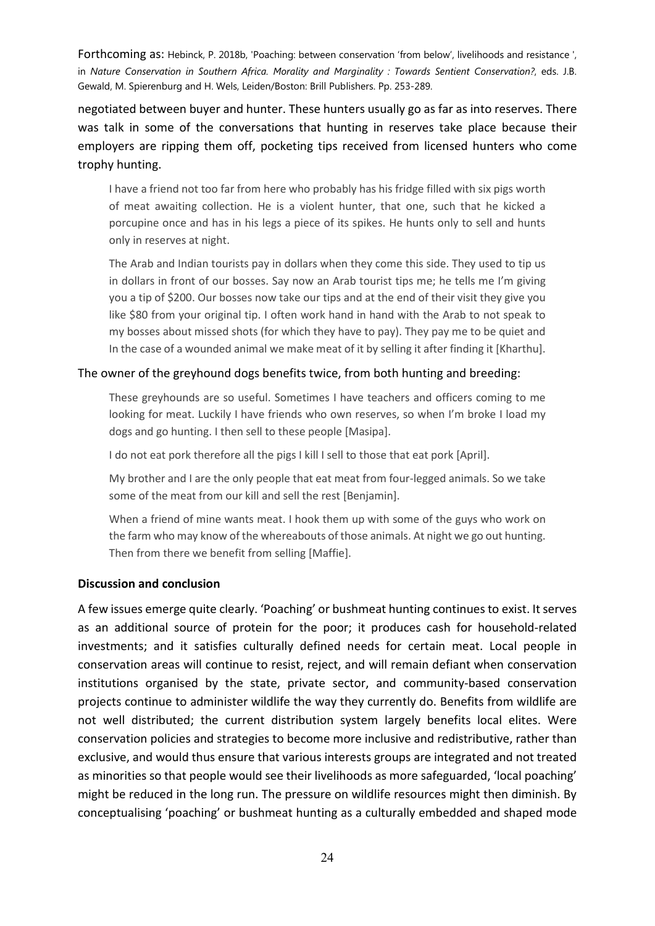negotiated between buyer and hunter. These hunters usually go as far as into reserves. There was talk in some of the conversations that hunting in reserves take place because their employers are ripping them off, pocketing tips received from licensed hunters who come trophy hunting.

I have a friend not too far from here who probably has his fridge filled with six pigs worth of meat awaiting collection. He is a violent hunter, that one, such that he kicked a porcupine once and has in his legs a piece of its spikes. He hunts only to sell and hunts only in reserves at night.

The Arab and Indian tourists pay in dollars when they come this side. They used to tip us in dollars in front of our bosses. Say now an Arab tourist tips me; he tells me I'm giving you a tip of \$200. Our bosses now take our tips and at the end of their visit they give you like \$80 from your original tip. I often work hand in hand with the Arab to not speak to my bosses about missed shots (for which they have to pay). They pay me to be quiet and In the case of a wounded animal we make meat of it by selling it after finding it [Kharthu].

### The owner of the greyhound dogs benefits twice, from both hunting and breeding:

These greyhounds are so useful. Sometimes I have teachers and officers coming to me looking for meat. Luckily I have friends who own reserves, so when I'm broke I load my dogs and go hunting. I then sell to these people [Masipa].

I do not eat pork therefore all the pigs I kill I sell to those that eat pork [April].

My brother and I are the only people that eat meat from four-legged animals. So we take some of the meat from our kill and sell the rest [Benjamin].

When a friend of mine wants meat. I hook them up with some of the guys who work on the farm who may know of the whereabouts of those animals. At night we go out hunting. Then from there we benefit from selling [Maffie].

### **Discussion and conclusion**

A few issues emerge quite clearly. 'Poaching' or bushmeat hunting continues to exist. It serves as an additional source of protein for the poor; it produces cash for household-related investments; and it satisfies culturally defined needs for certain meat. Local people in conservation areas will continue to resist, reject, and will remain defiant when conservation institutions organised by the state, private sector, and community-based conservation projects continue to administer wildlife the way they currently do. Benefits from wildlife are not well distributed; the current distribution system largely benefits local elites. Were conservation policies and strategies to become more inclusive and redistributive, rather than exclusive, and would thus ensure that various interests groups are integrated and not treated as minorities so that people would see their livelihoods as more safeguarded, 'local poaching' might be reduced in the long run. The pressure on wildlife resources might then diminish. By conceptualising 'poaching' or bushmeat hunting as a culturally embedded and shaped mode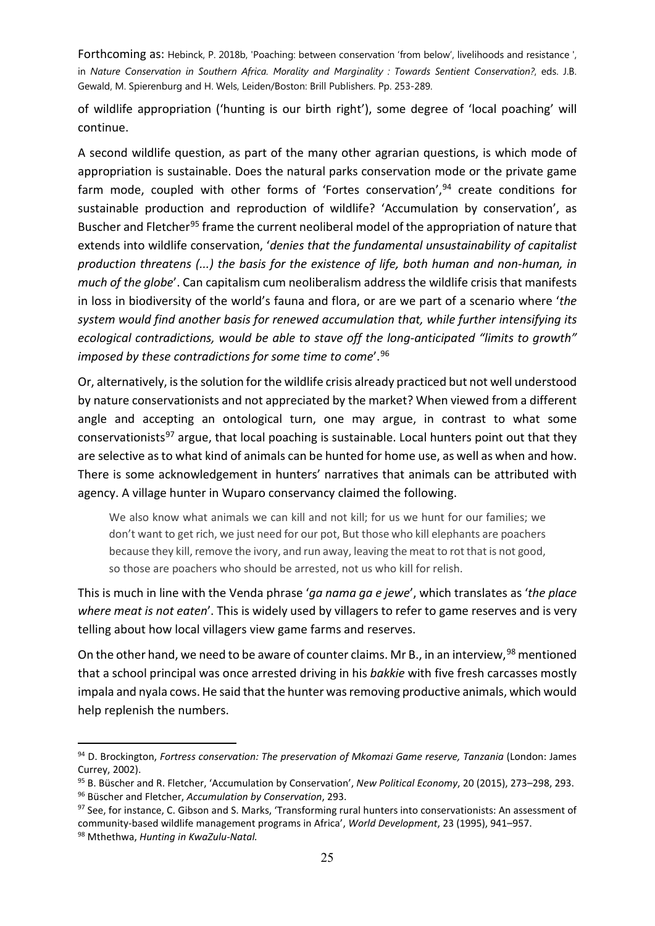of wildlife appropriation ('hunting is our birth right'), some degree of 'local poaching' will continue.

A second wildlife question, as part of the many other agrarian questions, is which mode of appropriation is sustainable. Does the natural parks conservation mode or the private game farm mode, coupled with other forms of 'Fortes conservation',<sup>[94](#page-24-0)</sup> create conditions for sustainable production and reproduction of wildlife? 'Accumulation by conservation', as Buscher and Fletcher<sup>[95](#page-24-1)</sup> frame the current neoliberal model of the appropriation of nature that extends into wildlife conservation, '*denies that the fundamental unsustainability of capitalist production threatens (...) the basis for the existence of life, both human and non-human, in much of the globe*'. Can capitalism cum neoliberalism address the wildlife crisis that manifests in loss in biodiversity of the world's fauna and flora, or are we part of a scenario where '*the system would find another basis for renewed accumulation that, while further intensifying its ecological contradictions, would be able to stave off the long-anticipated "limits to growth" imposed by these contradictions for some time to come*'.[96](#page-24-2)

Or, alternatively, is the solution for the wildlife crisis already practiced but not well understood by nature conservationists and not appreciated by the market? When viewed from a different angle and accepting an ontological turn, one may argue, in contrast to what some conservationists<sup>[97](#page-24-3)</sup> argue, that local poaching is sustainable. Local hunters point out that they are selective as to what kind of animals can be hunted for home use, as well as when and how. There is some acknowledgement in hunters' narratives that animals can be attributed with agency. A village hunter in Wuparo conservancy claimed the following.

We also know what animals we can kill and not kill; for us we hunt for our families; we don't want to get rich, we just need for our pot, But those who kill elephants are poachers because they kill, remove the ivory, and run away, leaving the meat to rot that is not good, so those are poachers who should be arrested, not us who kill for relish.

This is much in line with the Venda phrase '*ga nama ga e jewe*', which translates as '*the place where meat is not eaten*'. This is widely used by villagers to refer to game reserves and is very telling about how local villagers view game farms and reserves.

On the other hand, we need to be aware of counter claims. Mr B., in an interview, <sup>[98](#page-24-4)</sup> mentioned that a school principal was once arrested driving in his *bakkie* with five fresh carcasses mostly impala and nyala cows. He said that the hunter was removing productive animals, which would help replenish the numbers.

<span id="page-24-0"></span><sup>&</sup>lt;sup>94</sup> D. Brockington, *Fortress conservation: The preservation of Mkomazi Game reserve, Tanzania (London: James* Currey, 2002).

<span id="page-24-1"></span><sup>95</sup> B. Büscher and R. Fletcher, 'Accumulation by Conservation', *New Political Economy*, 20 (2015), 273–298, 293.

<span id="page-24-2"></span><sup>96</sup> Büscher and Fletcher, *Accumulation by Conservation*, 293.

<span id="page-24-4"></span><span id="page-24-3"></span><sup>&</sup>lt;sup>97</sup> See, for instance, C. Gibson and S. Marks, 'Transforming rural hunters into conservationists: An assessment of community-based wildlife management programs in Africa', *World Development*, 23 (1995), 941–957. <sup>98</sup> Mthethwa, *Hunting in KwaZulu-Natal.*